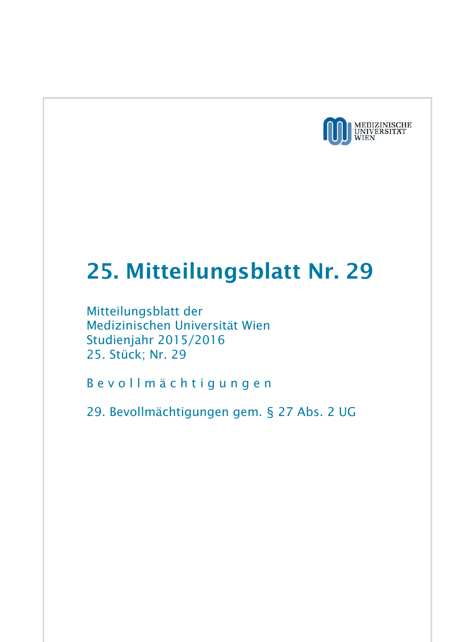

## 25. Mitteilungsblatt Nr. 29

Mitteilungsblatt der Medizinischen Universität Wien Studienjahr 2015/2016 25. Stück; Nr. 29

B e v o l l m ä c h t i g u n g e n

29. Bevollmächtigungen gem. § 27 Abs. 2 UG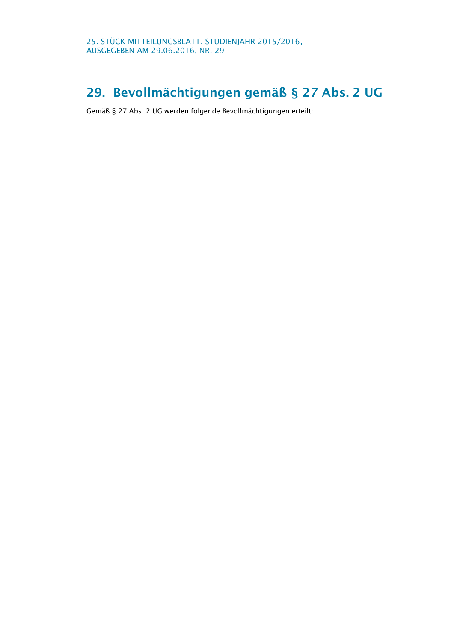## 29. Bevollmächtigungen gemäß § 27 Abs. 2 UG

Gemäß § 27 Abs. 2 UG werden folgende Bevollmächtigungen erteilt: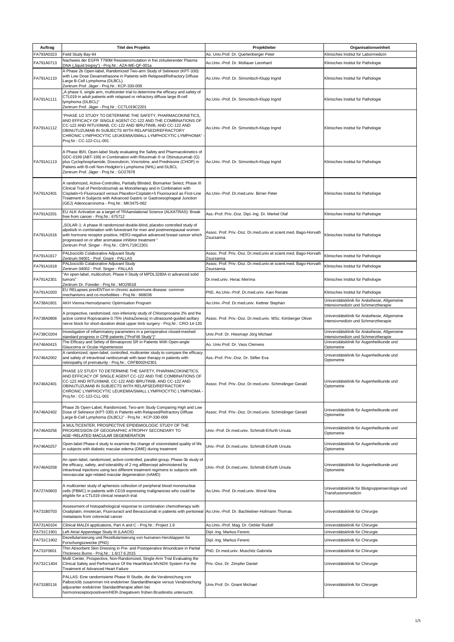| Auftrag    | <b>Titel des Projekts</b>                                                                                                                                                                                                                                                                                                                                              | Projektleiter                                                                | Organisationseinheit                                                                                                        |
|------------|------------------------------------------------------------------------------------------------------------------------------------------------------------------------------------------------------------------------------------------------------------------------------------------------------------------------------------------------------------------------|------------------------------------------------------------------------------|-----------------------------------------------------------------------------------------------------------------------------|
| FA793A0323 | Field Study Bay-94                                                                                                                                                                                                                                                                                                                                                     | Ao. Univ.Prof. Dr. Quehenberger Peter                                        | Klinisches Institut für Labormedizin                                                                                        |
| FA791A0713 | Nachweis der EGFR T790M Resistenzmutation in frei zirkulierender Plasma<br>DNA ("liquid biopsy") - Proj.Nr.: AZA-ME-QF-001a                                                                                                                                                                                                                                            | Ao.Univ.-Prof. Dr. Müllauer Leonhard                                         | Klinisches Institut für Pathologie                                                                                          |
| FA791A1110 | A Phase 2b Open-label, Randomized Two-arm Study of Selinexor (KPT-330)<br>with Low Dose Dexamethasone in Patients with Relapsed/Refractory Diffuse<br>Large B-Cell Lymphoma (DLBCL)<br>Zentrum Prof. Jäger - Proj.Nr.: KCP-330-009                                                                                                                                     | Ao.Univ.-Prof. Dr. Simonitsch-Klupp Ingrid                                   | Klinisches Institut für Pathologie                                                                                          |
| FA791A1111 | "A phase II, single arm, multicenter trial to determine the efficacy and safety of<br>CTL019 in adult patients with relapsed or refractory diffuse large B-cell<br>lymphoma (DLBCL)"<br>Zentrum Prof. Jäger - Proj.Nr.: CCTL019C2201                                                                                                                                   | Ao.Univ.-Prof. Dr. Simonitsch-Klupp Ingrid                                   | Klinisches Institut für Pathologie                                                                                          |
| FA791A1112 | "PHASE 1/2 STUDY TO DETERMINE THE SAFETY, PHARMACOKINETICS,<br>AND EFFICACY OF SINGLE AGENT CC-122 AND THE COMBINATIONS OF<br>CC-122 AND RITUXIMAB, CC-122 AND IBRUTINIB, AND CC-122 AND<br>OBINUTUZUMAB IN SUBJECTS WITH RELAPSED/REFRACTORY<br>CHRONIC LYMPHOCYTIC LEUKEMIA/SMALL LYMPHOCYTIC LYMPHOMA"<br>Proj.Nr.: CC-122-CLL-001                                  | Ao.Univ.-Prof. Dr. Simonitsch-Klupp Ingrid                                   | Klinisches Institut für Pathologie                                                                                          |
| FA791A1113 | A Phase IB/II, Open-label Study evaluating the Safety and Pharmacokinetics of<br>GDC-0199 (ABT-199) in Combination with Rituximab ® or Obinutuzumab (G)<br>plus Cyclophosphamide, Doxorubicin, Vincristine, and Prednisone (CHOP) in<br>Patiens with B-cell Non-Hodgkin's Lymphoma (NHL) and DLBCL<br>Zentrum Prof. Jäger - Proj.Nr.: GO27878                          | Ao.Univ.-Prof. Dr. Simonitsch-Klupp Ingrid                                   | Klinisches Institut für Pathologie                                                                                          |
| FA791A2401 | A randomized, Active-Controlles, Partially Blinded, Biomarker Select, Phase III<br>Clinical Trail of Pembrolizumab as Monotherapy and in Conbination with<br>Cisplatin+5-Fluorouracil versus Placebo+Cisplatin+5 Fluorouracil as First-Line<br>Treatment in Subjects with Advanced Gastric or Gastroesophageal Junction<br>(GEJ) Adenocarcinoma - Proj.Nr.: MK3475-062 | Ao.Univ.-Prof. Dr.med.univ. Birner Peter                                     | Klinisches Institut für Pathologie                                                                                          |
| FA791A2201 | EU ALK Activation as a target of TRAanslational Science (ALKATRAS): Break<br>free from cancer - Proj.Nr.: 675712                                                                                                                                                                                                                                                       | Ass.-Prof. Priv.-Doz. Dipl.-Ing. Dr. Merkel Olaf                             | Klinisches Institut für Pathologie                                                                                          |
| FA791A1616 | ,SOLAR-1: A phase III randomized double-blind, placebo controlled study of<br>alpelisib in combination with fulvestrant for men and postmenopausal women<br>with hormone receptor positive, HER2-negative advanced breast cancer which<br>progressed on or after aromatase inhibitor treatment "<br>Zentrum Prof. Singer - Proj.Nr.: CBYL719C2301                      | Assoc. Prof. Priv.-Doz. Dr.med.univ.et scient.med. Bago-Horvath<br>Zsuzsanna | Klinisches Institut für Pathologie                                                                                          |
| FA791A1617 | PALbociclib Colaborative Adjuvant Study<br>Zentrum 04001 - Prof. Gnant - PALLAS                                                                                                                                                                                                                                                                                        | Assoc. Prof. Priv.-Doz. Dr.med.univ.et scient.med. Bago-Horvath<br>Zsuzsanna | Klinisches Institut für Pathologie                                                                                          |
| FA791A1618 | PALbociclib Colaborative Adjuvant Study                                                                                                                                                                                                                                                                                                                                | Assoc. Prof. Priv.-Doz. Dr.med.univ.et scient.med. Bago-Horvath              | Klinisches Institut für Pathologie                                                                                          |
| FA791A2301 | Zentrum 04002 - Prof. Singer - PALLAS<br>"An open-label, multicohort, Phase II Study of MPDL3280A in advanced solid<br>tumors"                                                                                                                                                                                                                                         | Zsuzsanna<br>Dr.med.univ. Herac Merima                                       | Klinisches Institut für Pathologie                                                                                          |
| FA791A1003 | Zentrum Dr. Füreder - Proj.Nr.: MO29518<br>EU RELapses prevENTion in chronic autoimmune disease: common<br>mechanisms and co-morbidities - Proj.Nr.: 668036                                                                                                                                                                                                            | PhD. Ao.Univ.-Prof. Dr.med.univ. Kain Renate                                 | Klinisches Institut für Pathologie                                                                                          |
| FA738A1801 | AKH Vienna Hemodynamic Optimisation Program                                                                                                                                                                                                                                                                                                                            | Ao.Univ.-Prof. Dr.med.univ. Kettner Stephan                                  | Universitätsklinik für Anästhesie, Allgemeine                                                                               |
| FA738A0806 | A prospective, randomised, non-inferiority study of Chloroprocaine 2% and the<br>active control Ropivacaine 0.75% (AstraZeneca) in ultrasound-guided axillary<br>nerve block for short-duration distal upper limb surgery - Proj.Nr.: CRO-14-120                                                                                                                       | Assoc. Prof. Priv.-Doz. Dr.med.univ. MSc. Kimberger Oliver                   | Intensivmedizin und Schmerztherapie<br>Universitätsklinik für Anästhesie, Allgemeine<br>Intensivmedizin und Schmerztherapie |
| FA738C0204 | Investigation of inflammatory parameters in a perioperative closed-meshed                                                                                                                                                                                                                                                                                              | Univ.Prof. Dr. Hiesmayr Jörg Michael                                         | Universitätsklinik für Anästhesie, Allgemeine                                                                               |
| FA746A0415 | standard progress in CPB patients ("ProFil6 Study")"<br>The Efficacy and Sefety of Bimatoprost SR in Patients With Open-angle                                                                                                                                                                                                                                          | Ao, Univ.Prof. Dr. Vass Clemens                                              | Intensivmedizin und Schmerztherapie<br>Universitätsklinik für Augenheilkunde und                                            |
|            | Glaucoma or Ocular Hypertension<br>A randomized, open-label, controlled, multicenter study to compare the efficacy                                                                                                                                                                                                                                                     |                                                                              | Optometrie                                                                                                                  |
| FA746A2002 | and safety of intravitreal ranibizumab with laser therapy in patients with<br>retinopathy of prematurity - Proj.Nr.: CRFB002H2301                                                                                                                                                                                                                                      | Ass.-Prof. Priv.-Doz. Dr. Stifter Eva                                        | Universitätsklinik für Augenheilkunde und<br>Optometrie                                                                     |
| FA746A2401 | PHASE 1/2 STUDY TO DETERMINE THE SAFETY, PHARMACOKINETICS,<br>AND EFFICACY OF SINGLE AGENT CC-122 AND THE COMBINATIONS OF<br>CC-122 AND RITUXIMAB, CC-122 AND IBRUTINIB, AND CC-122 AND<br>OBINUTUZUMAB IN SUBJECTS WITH RELAPSED/REFRACTORY<br>CHRONIC LYMPHOCYTIC LEUKEMIA/SMALL LYMPHOCYTIC LYMPHOMA -<br>Proj.Nr.: CC-122-CLL-001                                  | Assoc. Prof. Priv.-Doz. Dr.med.univ. Schmidinger Gerald                      | Universitätsklinik für Augenheilkunde und<br>Optometrie                                                                     |
| FA746A2402 | Phase 2b Open-Label, Randomized, Two-arm Study Comparing High and Low<br>Dose of Selinexor (KPT-330) in Patients with Relapsed/Refractory Diffuse<br>Large B-Cell Lymphoma (DLBCL)" - Proj.Nr.: KCP-330-009                                                                                                                                                            | Assoc. Prof. Priv.-Doz. Dr.med.univ. Schmidinger Gerald                      | Universitätsklinik für Augenheilkunde und<br>Optometrie                                                                     |
| FA746A0256 | A MULTICENTER, PROSPECTIVE EPIDEMIOLOGIC STUDY OF THE<br>PROGRESSION OF GEOGRAPHIC ATROPHY SECONDARY TO<br>AGE-RELATED MACULAR DEGENERATION                                                                                                                                                                                                                            | Univ.-Prof. Dr.med.univ. Schmidt-Erfurth Ursula                              | Universitätsklinik für Augenheilkunde und<br>Optometrie                                                                     |
| FA746A0257 | Open-label Phase-4 study to examine the change of visionrelated quality of life<br>in subjects with diabetic macular edema (DME) during treatment                                                                                                                                                                                                                      | Univ.-Prof. Dr.med.univ. Schmidt-Erfurth Ursula                              | Universitätsklinik für Augenheilkunde und<br>Optometrie                                                                     |
| FA746A0258 | An open-label, randomized, active-controlled, parallel-group, Phase-3b study of<br>the efficacy, safety, and tolerability of 2 mg aflibercept administered by<br>intravitreal injections using two different treatment regimens to subjects with<br>neovascular age-related macular degeneration (nAMD)                                                                | Univ.-Prof. Dr.med.univ. Schmidt-Erfurth Ursula                              | Universitätsklinik für Augenheilkunde und<br>Optometrie                                                                     |
| FA727A0603 | A multicenter study of apheresis collection of peripheral blood mononuclear<br>cells (PBMC) in patients with CD19 expressing malignancies who could be<br>eligible for a CTL019 clinical research trial                                                                                                                                                                | Ao.Univ.-Prof. Dr.med.univ. Worel Nina                                       | Universitätsklinik für Blutgruppenserologie und<br>Transfusionsmedizin                                                      |
| FA731B0703 | Assessment of histopathological response to combination chemotherapy with<br>Oxaliplatin, Irinotecan, Fluorouracil and Bevacizumab in patients with peritoneal Ao.Univ.-Prof. Dr. Bachleitner-Hofmann Thomas<br>metastasis from colorectal cancer                                                                                                                      |                                                                              | Universitätsklinik für Chirurgie                                                                                            |
| FA731A0104 | Clinical MALDI applications, Part A and C - Proj.Nr.: Project 1.9                                                                                                                                                                                                                                                                                                      | Ao.Univ.-Prof. Mag. Dr. Oehler Rudolf                                        | Universitätsklinik für Chirurgie                                                                                            |
| FA731C1901 | Left Atrial Appendage Study III (LAAOS)<br>Dezellularisierung und Rezellularisierung von humanen Herzklappen für                                                                                                                                                                                                                                                       | Dipl.-Ing. Markus Ferenc                                                     | Universitätsklinik für Chirurgie                                                                                            |
| FA731C1902 | Forschungszwecke (PhD)<br>Thin Absorbent Skin Dressing in Pre- and Postoperative Woundcare in Partial                                                                                                                                                                                                                                                                  | Dipl.-Ing. Markus Ferenc                                                     | Universitätsklinik für Chirurgie                                                                                            |
| FA731F0601 | Thickness Burns - Proj.Nr.: 1.6/17.6.2015                                                                                                                                                                                                                                                                                                                              | PhD. Dr.med.univ. Muschitz Gabriela                                          | Universitätsklinik für Chirurgie                                                                                            |
| FA731C1404 | Multi Center, Prospective, Non-Randomized, Single-Arm Trial Evaluating the<br>Clinical Safety and Performance Of the HeartWare MVAD® System For the<br>Treatment of Advanced Heart Failure                                                                                                                                                                             | Priv.-Doz. Dr. Zimpfer Daniel                                                | Universitätsklinik für Chirurgie                                                                                            |
| FA731B0116 | PALLAS: Eine randomisierte Phase III Studie, die die Verabreichung von<br>Palbociclib zusammen mit endokriner Standardtherapie versus Verabreichung<br>adjuvanter endokriner Standardtherapie allein bei<br>hormonrezeptorpositivem/HER-2negativem frühen Brustkrebs untersucht.                                                                                       | Univ.Prof. Dr. Gnant Michael                                                 | Universitätsklinik für Chirurgie                                                                                            |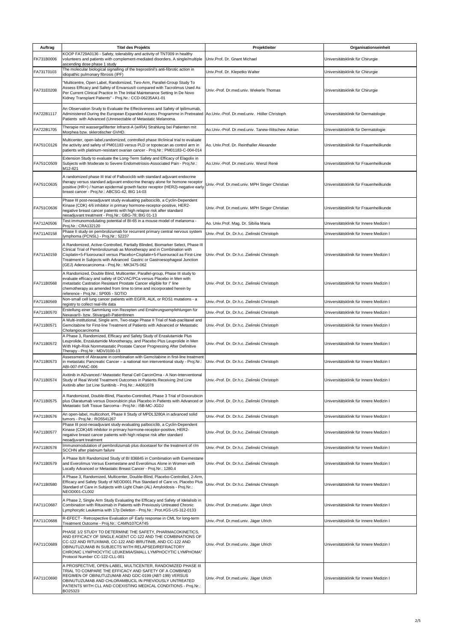| Auftrag    | <b>Titel des Projekts</b>                                                                                                                                                                                                                                                                                                                                              | Projektleiter                                       | Organisationseinheit                    |
|------------|------------------------------------------------------------------------------------------------------------------------------------------------------------------------------------------------------------------------------------------------------------------------------------------------------------------------------------------------------------------------|-----------------------------------------------------|-----------------------------------------|
| FK731B0006 | KOOP FA729A0136 - Safety, tolerability and activity of TNT009 in healthy<br>volunteers and patients with complement-mediated disorders. A single/multiple Univ.Prof. Dr. Gnant Michael<br>ascending dose phase 1 study                                                                                                                                                 |                                                     | Universitätsklinik für Chirurgie        |
| FA731T0103 | The molecular biological signalling of the treprostinil's anti-fibrotic action in<br>idiopathic pulmonary fibrosis (IPF)                                                                                                                                                                                                                                               | Univ.Prof. Dr. Klepetko Walter                      | Universitätsklinik für Chirurgie        |
| FA731E0208 | 'Multicentre, Open Label, Randomized, Two-Arm, Parallel-Group Study To<br>Assess Efficacy and Safety of Envarsus® compared with Tacrolimus Used As<br>Per Current Clinical Practice In The Initial Maintenance Setting In De Novo<br>Kidney Transplant Patients" - Proj.Nr.: CCD-06235AA1-01                                                                           | Univ.-Prof. Dr.med.univ. Wekerle Thomas             | Universitätsklinik für Chirurgie        |
| FA722B1117 | An Observation Srudy to Evaluate the Effectiveness and Safety of Ipilimumab,<br>Administered During the European Expanded Access Programme in Pretreated Ao.Univ.-Prof. Dr.med.univ. Höller Christoph<br>Patients with Advanced (Unresectable of Metastatic Melanoma.                                                                                                  |                                                     | Universitätsklinik für Dermatologie     |
| FA722B1705 | Therapie mit wassergefilterter Infrarot-A (wIRA) Strahlung bei Patienten mit<br>Morphea bzw. sklerotischer GVHD.                                                                                                                                                                                                                                                       | Ao.Univ.-Prof. Dr.med.univ. Tanew-Iliitschew Adrian | Universitätsklinik für Dermatologie     |
| FA751C0126 | Multicenter, open-label, randomized, controlled phase Illclinical trial to evaluate<br>the activity and safety of PM01183 versus PLD or topotecan as control arm in<br>patients with platinum-resistant ovarian cancer - Proj.Nr.: PM01183-C-004-014                                                                                                                   | Ao. Univ.Prof. Dr. Reinthaller Alexander            | Universitätsklinik für Frauenheilkunde  |
| FA751C0509 | Extension Study to evaluate the Long-Term Safety and Efficacy of Elagolix in<br>Subjects with Moderate to Severe Endometriosis-Associated Pain - Proj.Nr.:<br>M12-821                                                                                                                                                                                                  | Ao.Univ.-Prof. Dr.med.univ. Wenzl René              | Universitätsklinik für Frauenheilkunde  |
| FA751C0635 | A randomized phase III trial of Palbociclib with standard adjuvant endocrine<br>therapy versus standard adjuvant endocrine therapy alone for homone receptor<br>positive (HR+) / human epidermal growth factor receptor (HER2)-negative early<br>breast cancer - Proj.Nr.: ABCSG-42, BIG 14-03                                                                         | Univ.-Prof. Dr.med.univ. MPH Singer Christian       | Universitätsklinik für Frauenheilkunde  |
| FA751C0636 | Phase III post-neoadjuvant study evaluating palbociclib, a Cyclin-Dependent<br>Kinase (CDK) 4/6 inhibitor in primary hormone-receptor-positive, HER2-<br>negative breast cancer patients with high relapse risk after standard<br>neoadjuvant treatment - Proj.Nr.: GBG-78; BIG 01-13                                                                                  | Univ.-Prof. Dr.med.univ. MPH Singer Christian       | Universitätsklinik für Frauenheilkunde  |
| FA712A0506 | Test immunomodulating potential of BI-65 in a mouse model of melanoma -<br>Proj.Nr.: CRA132120                                                                                                                                                                                                                                                                         | Ao. Univ.Prof. Mag. Dr. Sibilia Maria               | Universitätsklinik für Innere Medizin I |
| FA711A0158 | Phase II study on pembrolizumab for recurrent primary central nervous system<br>lymphoma (PCNSL) - Proj.Nr.: 52237                                                                                                                                                                                                                                                     | Univ.-Prof. Dr. Dr.h.c. Zielinski Christoph         | Universitätsklinik für Innere Medizin I |
| FA711A0159 | A Randomized, Active-Controlled, Partially Blinded, Biomarker Select, Phase III<br>Clinical Trial of Pembrolizumab as Monotherapy and in Combination with<br>Cisplatin+5-Fluorouracil versus Placebo+Cisplatin+5-Fluorouracil as First-Line<br>Treatment in Subjects with Advanced Gastric or Gastroesophageal Junction<br>(GEJ) Adenocarcinoma - Proj.Nr.: MK3475-062 | Univ.-Prof. Dr. Dr.h.c. Zielinski Christoph         | Universitätsklinik für Innere Medizin I |
| FA711B0568 | A Randomized, Double Blind, Multicenter, Parallel-group, Phase III study to<br>evaluate efficacy and safety of DCVAC/PCa versus Placebo in Men with<br>metastatic Castration Resistant Prostate Cancer eligible for I" line<br>chemotherapy as amended from time to time and incorporated herein by<br>reference - Proj.Nr.: SP005 - SOTIO                             | Univ.-Prof. Dr. Dr.h.c. Zielinski Christoph         | Universitätsklinik für Innere Medizin I |
| FA711B0569 | Non-small cell lung cancer patients with EGFR, ALK, or ROS1 mutations - a<br>registry to collect real-life data                                                                                                                                                                                                                                                        | Univ.-Prof. Dr. Dr.h.c. Zielinski Christoph         | Universitätsklinik für Innere Medizin I |
| FA711B0570 | Erstellung einer Sammlung von Rezepten und Ernährungsempfehlungen für<br>Nexavar®- bzw. Stivarga®-PatientInnen                                                                                                                                                                                                                                                         | Univ.-Prof. Dr. Dr.h.c. Zielinski Christoph         | Universitätsklinik für Innere Medizin I |
| FA711B0571 | A Multi-institutional, Single arm, Two-stage Phase II Trial of Nab-paclitaxel and<br>Gemcitabine for First-line Treatment of Patients with Advanced or Metastatic<br>Cholangiocarcinoma                                                                                                                                                                                | Univ.-Prof. Dr. Dr.h.c. Zielinski Christoph         | Universitätsklinik für Innere Medizin I |
| FA711B0572 | A Phase 3, Randomized, Efficacy and Safety Study of Enzalutamide Plus<br>Leuprolide, Enzalutamide Monotherapy, and Placebo Plus Leuprolide in Men<br>With High-Risk Nonmetastatic Prostate Cancer Progressing After Definitive<br>Therapy - Proj.Nr.: MDV3100-13                                                                                                       | Univ.-Prof. Dr. Dr.h.c. Zielinski Christoph         | Universitätsklinik für Innere Medizin I |
| FA711B0573 | Assessment of Abraxane in combination with Gemcitabine in first-line treatment<br>in metastatic Pancreatic Cancer - a national non interventional study - Proj.Nr.: Univ.-Prof. Dr. Dr.h.c. Zielinski Christoph<br>ABI-007-PANC-006                                                                                                                                    |                                                     | Universitätsklinik für Innere Medizin I |
| FA711B0574 | Axitinib in ADvanced / Metastatic Renal Cell CarcinOma - A Non-Interventional<br>Study of Real World Treatment Outcomes in Patients Receiving 2nd Line<br>Axitinib after 1st Line Sunitinib - Proj.Nr.: A4061078                                                                                                                                                       | Univ.-Prof. Dr. Dr.h.c. Zielinski Christoph         | Universitätsklinik für Innere Medizin I |
| FA711B0575 | A Randomized, Double-Blind, Placebo-Controlled, Phase 3 Trial of Doxorubicin<br>plus Olaratumab versus Doxorubicin plus Placebo in Patients with Advanced or Univ.-Prof. Dr. Dr.h.c. Zielinski Christoph<br>Metastatic Soft Tissue Sarcoma - Proj.Nr.: I5B-MC-JGDJ                                                                                                     |                                                     | Universitätsklinik für Innere Medizin I |
| FA711B0576 | An open-label, multicohort, Phase II Study of MPDL3280A in advanced solid<br>tumors - Proj.Nr.: RO5541267                                                                                                                                                                                                                                                              | Univ.-Prof. Dr. Dr.h.c. Zielinski Christoph         | Universitätsklinik für Innere Medizin I |
| FA711B0577 | Phase III post-neoadjuvant study evaluating palbociclib, a Cyclin-Dependent<br>Kinase (CDK)4/6 inhibitor in primary hormone-receptor-positive, HER2-<br>negative breast cancer patients with high relapse risk after standard<br>neoadjuvant treatment                                                                                                                 | Univ.-Prof. Dr. Dr.h.c. Zielinski Christoph         | Universitätsklinik für Innere Medizin I |
| FA711B0578 | Immunomodulation of pembrolizumab plus docetaxel for the treatment of r/m<br>SCCHN after platinum failure                                                                                                                                                                                                                                                              | Univ.-Prof. Dr. Dr.h.c. Zielinski Christoph         | Universitätsklinik für Innere Medizin I |
| FA711B0579 | A Phase Ib/II Randomized Study of BI 836845 in Combination with Exemestane<br>and Everolimus Versus Exemestane and Everolimus Alone in Women with<br>Locally Advanced or Metastatic Breast Cancer - Proj.Nr.: 1280.4                                                                                                                                                   | Univ.-Prof. Dr. Dr.h.c. Zielinski Christoph         | Universitätsklinik für Innere Medizin I |
| FA711B0580 | A Phase 3, Randomized, Multicenter, Double-Blind, Placebo-Controlled, 2-Arm.<br>Efficacy and Safety Study of NEOD001 Plus Standard of Care vs. Placebo Plus<br>Standard of Care in Subjects with Light Chain (AL) Amyloidosis - Proj.Nr.:<br>NEOD001-CL002                                                                                                             | Univ.-Prof. Dr. Dr.h.c. Zielinski Christoph         | Universitätsklinik für Innere Medizin I |
| FA711C0687 | A Phase 2, Single Arm Study Evaluating the Efficacy and Safety of Idelalisib in<br>Combination with Rituximab in Patients with Previously Untreated Chronic<br>Lymphocytic Leukemia with 17p Deletion - Proj.Nr.: Prot.#GS-US-312-0133                                                                                                                                 | Univ.-Prof. Dr.med.univ. Jäger Ulrich               | Universitätsklinik für Innere Medizin I |
| FA711C0688 | R-EFECT - Retrospective Evaluation oF Early response in CML for long-term<br>Treatment Outcome - Proj.Nr.: CAMN107CAT45                                                                                                                                                                                                                                                | Univ.-Prof. Dr.med.univ. Jäger Ulrich               | Universitätsklinik für Innere Medizin I |
| FA711C0689 | PHASE 1/2 STUDY TO DETERMINE THE SAFETY, PHARMACOKINETICS,<br>AND EFFICACY OF SINGLE AGENT CC-122 AND THE COMBINATIONS OF<br>CC-122 AND RITUXIMAB, CC-122 AND IBRUTINIB, AND CC-122 AND<br>OBINUTUZUMAB IN SUBJECTS WITH RELAPSED/REFRACTORY<br>CHRONIC LYMPHOCYTIC LEUKEMIA/SMALL LYMPHOCYTIC LYMPHOMA"<br>Protocol Number CC-122-CLL-001                             | Univ.-Prof. Dr.med.univ. Jäger Ulrich               | Universitätsklinik für Innere Medizin I |
| FA711C0690 | A PROSPECTIVE, OPEN-LABEL, MULTICENTER, RANDOMIZED PHASE III<br>TRIAL TO COMPARE THE EFFICACY AND SAFETY OF A COMBINED<br>REGIMEN OF OBINUTUZUMAB AND GDC-0199 (ABT-199) VERSUS<br>OBINUTUZUMAB AND CHLORAMBUCIL IN PREVIOUSLY UNTREATED<br>PATIENTS WITH CLL AND COEXISTING MEDICAL CONDITIONS - Proj.Nr.:<br>BO25323                                                 | Univ.-Prof. Dr.med.univ. Jäger Ulrich               | Universitätsklinik für Innere Medizin I |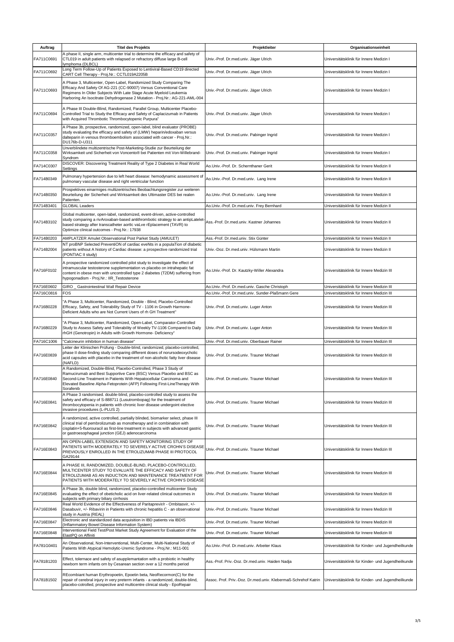| Auftrag    | <b>Titel des Projekts</b>                                                                                                                                                                                                                                                                                  | Projektleiter                                                  | Organisationseinheit                               |  |
|------------|------------------------------------------------------------------------------------------------------------------------------------------------------------------------------------------------------------------------------------------------------------------------------------------------------------|----------------------------------------------------------------|----------------------------------------------------|--|
| FA711C0691 | A phase II, single arm, multicenter trial to determine the efficacy and safety of<br>CTL019 in adult patients with relapsed or refractory diffuse large B-cell<br>lymphoma (DLBCL)                                                                                                                         | Univ.-Prof. Dr.med.univ. Jäger Ulrich                          | Universitätsklinik für Innere Medizin I            |  |
| FA711C0692 | Long Term Follow-Up of Patients Exposed to Lentiviral-Based CD19 directed<br>CART Cell Therapy - Proj.Nr.: CCTL019A2205B                                                                                                                                                                                   | Univ.-Prof. Dr.med.univ. Jäger Ulrich                          | Universitätsklinik für Innere Medizin I            |  |
| FA711C0693 | A Phase 3, Multicenter, Open-Label, Randomized Study Comparing The<br>Efficacy And Safety Of AG-221 (CC-90007) Versus Conventional Care<br>Regimens In Older Subjects With Late Stage Acute Myeloid Leukemia<br>Harboring An Isocitrate Dehydrogenase 2 Mutation - Proj.Nr.: AG-221-AML-004                | Univ.-Prof. Dr.med.univ. Jäger Ulrich                          | Universitätsklinik für Innere Medizin I            |  |
| FA711C0694 | A Phase III Double-Blind, Randomized, Parallel Group, Multicenter Placebo-<br>Controlled Trial to Study the Efficacy and Safety of Caplacizumab in Patients<br>with Acquired Thrombotic Thrombocytopenic Purpura"                                                                                          | Univ.-Prof. Dr.med.univ. Jäger Ulrich                          | Universitätsklinik für Innere Medizin I            |  |
| FA711C0357 | A Phase 3b, prospective, randomized, open-label, blind evaluator (PROBE)<br>study evaluating the efficacy and safety of (LMW) heparin/edoxaban versus<br>dalteparin in venous thromboembolism associated with cancer - Proj.Nr.:<br>DU176b-D-U311                                                          | Univ.-Prof. Dr.med.univ. Pabinger Ingrid                       | Universitätsklinik für Innere Medizin I            |  |
| FA711C0358 | Unverblindete multizentrische Post-Marketing-Studie zur Beurteilung der<br>Wirksamkeit und Sicherheit von Voncento® bei Patienten mit Von-Willebrand-<br>Syndrom                                                                                                                                           | Univ.-Prof. Dr.med.univ. Pabinger Ingrid                       | Universitätsklinik für Innere Medizin I            |  |
| FA714C0307 | DISCOVER: Discovering Treatment Reality of Type 2 Diabetes in Real World<br>Settings                                                                                                                                                                                                                       | Ao.Univ.-Prof. Dr. Schernthaner Gerit                          | Universitätsklinik für Innere Medizin II           |  |
| FA714B0349 | Pulmonary hypertension due to left heart disease: hemodynamic assessment of<br>pulmonary vascular disease and right ventricular function                                                                                                                                                                   | Ao.Univ.-Prof. Dr.med.univ. Lang Irene                         | Universitätsklinik für Innere Medizin II           |  |
| FA714B0350 | Prospektives einarmiges multizentrisches Beobachtungsregister zur weiteren<br>Beurteilung der Sicherheit und Wirksamkeit des Ultimaster DES bei realen<br>Patienten.                                                                                                                                       | Ao.Univ.-Prof. Dr.med.univ. Lang Irene                         | Universitätsklinik für Innere Medizin II           |  |
| FA714B3401 | <b>GLOBAL Leaders</b>                                                                                                                                                                                                                                                                                      | Ao.Univ.-Prof. Dr.med.univ. Frey Bernhard                      | Universitätsklinik für Innere Medizin II           |  |
| FA714B3102 | Global multicenter, open-label, randomized, event-driven, active-controlled<br>study comparing a rivAroxaban-based antithrombotic strategy to an antipLatelet-<br>based strategy after transcatheter aortic vaLve rEplacement (TAVR) to<br>Optimize clinical outcomes - Proj.Nr.: 17938                    | Ass.-Prof. Dr.med.univ. Kastner Johannes                       | Universitätsklinik für Innere Medizin II           |  |
| FA714B0203 | AMPLATZER Amulet Observational Post Parket Study (AMULET)                                                                                                                                                                                                                                                  | Ass.-Prof. Dr.med.univ. Stix Günter                            | Universitätsklinik für Innere Medizin II           |  |
| FA714B2004 | NT proBNP Selected PreventiON of cardiac eveNts in a populaTion of dlabetic<br>patients without A history of Cardiac disease: a prospective randomized trial<br>(PONTIAC II study)                                                                                                                         | Univ.-Doz. Dr.med.univ. Hülsmann Martin                        | Universitätsklinik für Innere Medizin II           |  |
| FA716F0102 | A prospective randomized controlled pilot study to investigate the effect of<br>intramuscular testosterone supplementation vs placebo on intrahepatic fat<br>content in obese men with uncontrolled type 2 diabetes (T2DM) suffering from<br>hypogonadism - Proj.Nr.: IIR_Testosterone                     | Ao.Univ.-Prof. Dr. Kautzky-Willer Alexandra                    | Universitätsklinik für Innere Medizin III          |  |
| FA716E0602 | <b>GIRO</b><br>Gastrointestinal Wall Repair Device                                                                                                                                                                                                                                                         | Ao.Univ.-Prof. Dr.med.univ. Gasche Christoph                   | Universitätsklinik für Innere Medizin III          |  |
| FA716C0816 | FOS                                                                                                                                                                                                                                                                                                        | Ao.Univ.-Prof. Dr.med.univ. Sunder-Plaßmann Gere               | Universitätsklinik für Innere Medizin III          |  |
| FA716B0228 | "A Phase 3, Multicenter, Randomized, Double - Blind, Placebo-Controlled<br>Efficacy, Safety, and Tolerability Study of TV - 1106 in Growth Harmone-<br>Deficient Adults who are Not Current Users of rh GH Treatment"                                                                                      | Univ.-Prof. Dr.med.univ. Luger Anton                           | Universitätsklinik für Innere Medizin III          |  |
| FA716B0229 | "A Phase 3, Multicenter, Randomized, Open-Label, Comparator-Controlled<br>Study to Assess Safety and Tolerability of Weekly TV-1106 Compared to Daily<br>rhGH (Genotropin) in Adults with Growth Hormone- Deficiency"                                                                                      | Univ.-Prof. Dr.med.univ. Luger Anton                           | Universitätsklinik für Innere Medizin III          |  |
| FA716C1006 | "Calcineurin inhibition in human disease"                                                                                                                                                                                                                                                                  | Univ.-Prof. Dr.med.univ. Oberbauer Rainer                      | Universitätsklinik für Innere Medizin III          |  |
| FA716E0839 | Leiter der Klinischen Prüfung - Double-blind, randomized, placebo-controlled,<br>phase II dose-finding study comparing different doses of norursodeoxycholic<br>acid capsules with placebo in the treatment of non-alcoholic fatty liver disease<br>(NAFLD)                                                | Univ.-Prof. Dr.med.univ. Trauner Michael                       | Universitätsklinik für Innere Medizin III          |  |
| FA716E0840 | A Randomized, Double-Blind, Placebo-Controlled, Phase 3 Study of<br>Ramucirumab and Best Supportive Care (BSC) Versus Placebo and BSC as<br>Second-Line Treatment in Patients With Hepatocellular Carcinoma and<br>Elevated Baseline Alpha-Fetoprotein (AFP) Following First-LineTherapy With<br>Sorafenib | Univ.-Prof. Dr.med.univ. Trauner Michael                       | Universitätsklinik für Innere Medizin III          |  |
| FA716E0841 | A Phase 3 randomised. double-blind, placebo-controlled study to assess the<br>safety and efficacy of S-888711 (Lusutrombopag) for the treatment of<br>thrombocytopenia in patients with chronic liver disease undergoint elective<br>invasive procedures (L-PLUS 2)                                        | Univ.-Prof. Dr.med.univ. Trauner Michael                       | Universitätsklinik für Innere Medizin III          |  |
| FA716E0842 | A randomized, active controlled, partially blinded, biomarker select, phase III<br>clinical trial of pembrolizumab as monotherapy and in combination with<br>cisplatin+5-fluorouracil as first-line treatment in subiects with advanced gastric<br>or gastroesophageal junction (GEJ) adenocarcinoma       | Univ.-Prof. Dr.med.univ. Trauner Michael                       | Universitätsklinik für Innere Medizin III          |  |
| FA716E0843 | AN OPEN-LABEL EXTENSION AND SAFETY MONITORING STUDY OF<br>PATIENTS WITH MODERATELY TO SEVERELY ACTIVE CROHN'S DISEASE<br>PREVIOUSLY ENROLLED IN THE ETROLIZUMAB PHASE III PROTOCOL<br>GA29144                                                                                                              | Univ.-Prof. Dr.med.univ. Trauner Michael                       | Universitätsklinik für Innere Medizin III          |  |
| FA716E0844 | A PHASE III, RANDOMIZED, DOUBLE-BLIND, PLACEBO-CONTROLLED,<br>MULTICENTER STUDY TO EVALUATE THE EFFICACY AND SAFETY OF<br>ETROLIZUMAB AS AN INDUCTION AND MAINTENANCE TREATMENT FOR<br>PATIENTS WITH MODERATELY TO SEVERELY ACTIVE CROHN'S DISEASE                                                         | Univ.-Prof. Dr.med.univ. Trauner Michael                       | Universitätsklinik für Innere Medizin III          |  |
| FA716E0845 | A Phase 3b, double blind, randomized, placebo-controlled multicenter Study<br>evaluating the effect of obeticholic acid on liver-related clinical outcomes in<br>subjects with primary biliary cirrhosis                                                                                                   | Univ.-Prof. Dr.med.univ. Trauner Michael                       | Universitätsklinik für Innere Medizin III          |  |
| FA716E0846 | Real World Evidence of the Effectiveness of Paritaprevir/r - Ombitasvir, +/-<br>Dasabuvir, +/- Ribavirin in Patients with chronic hepatitis C - an observational<br>study in Austria (REAL)                                                                                                                | Univ.-Prof. Dr.med.univ. Trauner Michael                       | Universitätsklinik für Innere Medizin III          |  |
| FA716E0847 | Electronic and standardized data acquisition in IBD patients via IBDIS<br>(Inflammatory Bowel Disease Information System)                                                                                                                                                                                  | Univ.-Prof. Dr.med.univ. Trauner Michael                       | Universitätsklinik für Innere Medizin III          |  |
| FA716E0848 | Interventional Field Test/Post Market Study Agreement for Evaluation of the                                                                                                                                                                                                                                | Univ.-Prof. Dr.med.univ. Trauner Michael                       | Universitätsklinik für Innere Medizin III          |  |
| FA781G0401 | ElastPQ on Affiniti<br>An Observational, Non-Interventional, Multi-Center, Multi-National Study of                                                                                                                                                                                                         | Ao.Univ.-Prof. Dr.med.univ. Arbeiter Klaus                     | Universitätsklinik für Kinder- und Jugendheilkunde |  |
|            | Patients With Atypical Hemolytic-Uremic Syndrome - Proj.Nr.: M11-001<br>Effect, tolernace and safety of asupplemantation with a probiotic in healthy                                                                                                                                                       |                                                                |                                                    |  |
| FA781B1203 | newborn term infants orn by Cesarean section over a 12 months period                                                                                                                                                                                                                                       | Ass.-Prof. Priv.-Doz. Dr.med.univ. Haiden Nadja                | Universitätsklinik für Kinder- und Jugendheilkunde |  |
| FA781B1502 | REcombiant human Erythropoetin, Epoetin beta, NeoRecormon(C) for the<br>repair of cerebral injury in very preterm infants - a randomized, double-blind,<br>placebo-cotrolled, prospective and multicentre clinical study - EpoRepair                                                                       | Assoc. Prof. Priv.-Doz. Dr.med.univ. Klebermaß-Schrehof Katrin | Universitätsklinik für Kinder- und Jugendheilkunde |  |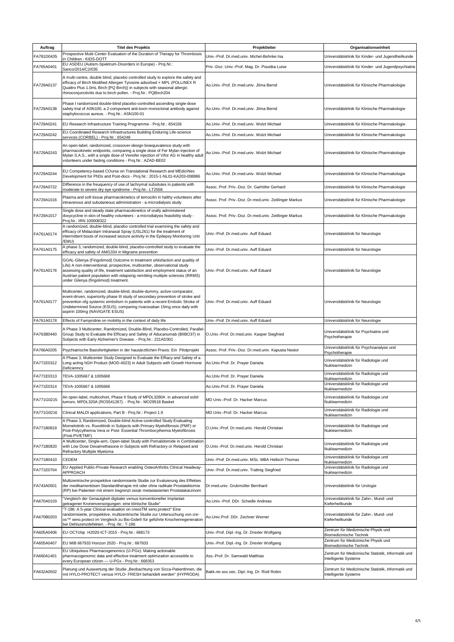| Auftrag    | <b>Titel des Projekts</b>                                                                                                                                                                                                                                                                                                                                            | Projektleiter                                          | Organisationseinheit                                                       |
|------------|----------------------------------------------------------------------------------------------------------------------------------------------------------------------------------------------------------------------------------------------------------------------------------------------------------------------------------------------------------------------|--------------------------------------------------------|----------------------------------------------------------------------------|
| FA781D0435 | Prospective Multi-Center Evaluation of the Duration of Therapy for Thrombosis                                                                                                                                                                                                                                                                                        | Univ.-Prof. Dr.med.univ. Michel-Behnke Ina             | Universitätsklinik für Kinder- und Jugendheilkunde                         |
| FA765A0401 | in Children - KIDS-DOTT<br>EU ASDEU (Autism-Spektrum-Disorders in Europe) - Proj.Nr.:                                                                                                                                                                                                                                                                                | Priv.-Doz. Univ.-Prof. Mag. Dr. Poustka Luise          | Universitätsklinik für Kinder- und Jugendpsychiatrie                       |
| FA729A0137 | Sanco/2014/C2/035<br>A multi-centre, double blind, placebo controlled study to explore the safety and<br>efficacy of Birch Modified Allergen Tyrosine adsorbed + MPL (POLLINEX R<br>Quattro Plus 1.0mL Birch [PQ Birch}) in subjects with seasonal allergic<br>rhinoconjunctivitis due to birch pollen. - Proj.Nr.: PQBirch204                                       | Ao.Univ.-Prof. Dr.med.univ. Jilma Bernd                | Universitätsklinik für Klinische Pharmakologie                             |
| FA729A0138 | Phase I randomized double-blind placebo-controlled ascending single-dose<br>safety trial of ASN100, a 2-component anti-toxin monoclonal antibody against<br>staphylococcus aureus. - Proj.Nr.: ASN100-01                                                                                                                                                             | Ao.Univ.-Prof. Dr.med.univ. Jilma Bernd                | Universitätsklinik für Klinische Pharmakologie                             |
| FA729A0241 | EU Research Infrastructure Training Programme - Proj.Nr.: 654156                                                                                                                                                                                                                                                                                                     | Ao.Univ.-Prof. Dr.med.univ. Wolzt Michael              | Universitätsklinik für Klinische Pharmakologie                             |
| FA729A0242 | EU Coordinated Research Infrastructures Building Enduring Life-science<br>services (CORBEL) - Proj.Nr.: 654248                                                                                                                                                                                                                                                       | Ao.Univ.-Prof. Dr.med.univ. Wolzt Michael              | Universitätsklinik für Klinische Pharmakologie                             |
| FA729A0243 | An open-label, randomized, crossover-design bioequivalence study with<br>pharmacokinetic endpoints, comparing a single dose of Fer Mylan injection of<br>Mylan S.A.S., with a single dose of Venofer injection of Vifor AG in healthy adult<br>volunteers under fasting conditions - Proj.Nr.: AZAD-BE02                                                             | Ao.Univ.-Prof. Dr.med.univ. Wolzt Michael              | Universitätsklinik für Klinische Pharmakologie                             |
| FA729A0244 | EU Competency-based COurse on Translational Research and MEdiciNes<br>Development for PhDs and Post-docs - Proj.Nr.: 2015-1-NL01-KA203-008886                                                                                                                                                                                                                        | Ao.Univ.-Prof. Dr.med.univ. Wolzt Michael              | Universitätsklinik für Klinische Pharmakologie                             |
| FA729A0722 | Difference in the freuquency of use of lachrymal subsitutes in patients with<br>moderate to severe dry eye syndrome - Proj.Nr.: LT2558                                                                                                                                                                                                                               | Assoc. Prof. Priv.-Doz. Dr. Garhöfer Gerhard           | Universitätsklinik für Klinische Pharmakologie                             |
| FA729A1016 | Plasma and soft tissue pharmacokinetics of temocilin in halthy volunteers after<br>intravenous and subutaneous administration - a microdialysis study                                                                                                                                                                                                                | Assoc. Prof. Priv.-Doz. Dr.med.univ. Zeitlinger Markus | Universitätsklinik für Klinische Pharmakologie                             |
| FA729A1017 | Single dose and steady state pharmacokinetics of orally administered<br>doxycycline in skin of healthy volunteers - a microdialysis feasibility study -<br>Proj.Nr.: IRN 100008322                                                                                                                                                                                   | Assoc. Prof. Priv.-Doz. Dr.med.univ. Zeitlinger Markus | Universitätsklinik für Klinische Pharmakologie                             |
| FA761A0174 | A randomized, double-blind, placebo controlled trial examining the safety and<br>efficacy of Midazolam Intranasal Spray (USL261) for the treatment of<br>intermittent bouts of increased seizure acitivity in the Epilepsy Monitoring Unit<br>/EMU)                                                                                                                  | Univ.-Prof. Dr.med.univ. Auff Eduard                   | Universitätsklinik für Neurologie                                          |
| FA761A0175 | A phase 3, randomized, double-blind, placebo-controlled study to evaluate the<br>efficacy and safety of AMG334 in Migraine prevention                                                                                                                                                                                                                                | Univ.-Prof. Dr.med.univ. Auff Eduard                   | Universitätsklinik für Neurologie                                          |
| FA761A0176 | GOAL-Gilenya (Fingolimod) Outcome in treatment sAtisfaction and qualitiy of<br>Life) A non-interventional, prospective, multicenter, observational study<br>assessing quality of life, treatment satisfaction and employment status of an<br>Austrian patient population with relapsing remitting multiple sclerosis (RRMS)<br>under Gilenya (fingolimod) treatment. | Univ.-Prof. Dr.med.univ. Auff Eduard                   | Universitätsklinik für Neurologie                                          |
| FA761A0177 | Multicenter, randomized, double-blind, double-dummy, active-comparator,<br>event-driven, superiority phase III study of secondary prevention of stroke and<br>prevention ofg systemic embolism in patients with a recent Embolic Stroke of<br>Undetermined Source (ESUS), comparing rivaroxaban 15mg once daily with<br>aspirin 100mg (NAVIGATE ESUS)                | Univ.-Prof. Dr.med.univ. Auff Eduard                   | Universitätsklinik für Neurologie                                          |
| FA761A0178 | Effects of Fampridine on mobility in the context of daily life                                                                                                                                                                                                                                                                                                       | Univ.-Prof. Dr.med.univ. Auff Eduard                   | Universitätsklinik für Neurologie                                          |
| FA763B0440 | A Phase 3 Multicenter, Randomized, Double-Blind, Placebo-Controlled, Parallel-<br>Group Study to Evaluate the Efficacy and Safety of Aducanumab (BIIBO37) in<br>Subjects with Early Alzheimer's Disease. - Proj.Nr.: 221AD301                                                                                                                                        | O.Univ.-Prof. Dr.med.univ. Kasper Siegfried            | Universitätsklinik für Psychiatrie und<br>Psychotherapie                   |
| FA766A0205 | Psychiatrische Basisfertigkeiten in der hausärztlichen Praxis: Ein Pilotprojekt                                                                                                                                                                                                                                                                                      | Assoc. Prof. Priv.-Doz. Dr.med.univ. Kapusta Nestor    | Universitätsklinik für Psychoanalyse und<br>Psychotherapie                 |
| FA771E0312 | A Phase 3, Multicenter Study Designed to Evaluate the Effiacy and Safety of a<br>Long acting hGH Product (MOD-4023) in Adult Subjects with Growth Hormone<br>Deficienncy                                                                                                                                                                                             | Ao.Univ.Prof. Dr. Prayer Daniela                       | Universitätsklinik für Radiologie und<br>Nuklearmedizin                    |
| FA771E0313 | TEVA-1005667 & 1005668                                                                                                                                                                                                                                                                                                                                               | Ao.Univ.Prof. Dr. Prayer Daniela                       | Universitätsklinik für Radiologie und<br>Nuklearmedizin                    |
| FA771E0314 | TEVA-1005667 & 1005668                                                                                                                                                                                                                                                                                                                                               | Ao.Univ.Prof. Dr. Prayer Daniela                       | Universitätsklinik für Radiologie und<br>Nuklearmedizin                    |
| FA771G0215 | An open-label, multicohort, Phase II Study of MPDL3280A in advanced solid<br>tumors. MPDL320A (RO5541267). - Proj.Nr.: MO29518 Basket                                                                                                                                                                                                                                | MD Univ.-Prof. Dr. Hacker Marcus                       | Universitätsklinik für Radiologie und<br>Nuklearmedizin                    |
| FA771G0216 | Clinical MALDI applications, Part B - Proj.Nr.: Project 1.9                                                                                                                                                                                                                                                                                                          | MD Univ.-Prof. Dr. Hacker Marcus                       | Universitätsklinik für Radiologie und<br>Nuklearmedizin                    |
| FA771B0819 | A Phase 3, Randomized, Double-blind Active-controlled Study Evaluating<br>Momelotinib vs. Ruxolitinib in Subjects with Primary Myelofibrosis (PMF) or<br>Post-Polycythemia Vera or Post- Essential Thrombocythemia Myelofibrosis<br>(Post-PV/ETMF)                                                                                                                   | O.Univ.-Prof. Dr.med.univ. Herold Christian            | Universitätsklinik für Radiologie und<br>Nuklearmedizin                    |
| FA771B0820 | A Multicenter, Single-arm, Open-label Study with Pomalidomide in Combination<br>with Low Dose Dexamethasone in Subjects with Refractory or Relapsed and<br>Refractory Multiple Myeloma                                                                                                                                                                               | O.Univ.-Prof. Dr.med.univ. Herold Christian            | Universitätsklinik für Radiologie und<br>Nuklearmedizin                    |
| FA771B0410 | CEDEM                                                                                                                                                                                                                                                                                                                                                                | Univ.-Prof. Dr.med.univ. MSc. MBA Helbich Thomas       | Universitätsklinik für Radiologie und<br>Nuklearmedizin                    |
| FA771E0704 | EU Applied Public-Private Research enabling OsteoArthritis Clinical Headway-<br>APPROACH                                                                                                                                                                                                                                                                             | Univ.-Prof. Dr.med.univ. Trattnig Siegfried            | Universitätsklinik für Radiologie und<br>Nuklearmedizin                    |
| FA743A0501 | Multizentrische prospektive randomisierte Studie zur Evaluierung des Effektes<br>der medikamentösen Standardtherapie mit oder ohne radikale Prostatektomie<br>(RP) bei Patienten mit einem begrenzt ossär metastasierten Prostatakarzinom                                                                                                                            | Dr.med.univ. Grubmüller Bernhard                       | Universitätsklinik für Urologie                                            |
| FA670A0103 | 'Vergleich der Genauigkeit digitaler versus konventioneller Implantat-<br>getragener Kronenversorgungen: eine klinische Studie"                                                                                                                                                                                                                                      | Ao.Univ.-Prof. DDr. Schedle Andreas                    | Universitätsklinik für Zahn-, Mund- und<br>Kieferheilkunde                 |
| FA670B0203 | "T-186: A 5-year Clinical evaluation on creosTM xeno.protect" Eine<br>randomisierte, prospektive, multizentrische Studie zur Untersuchung von cre-<br>os™ xeno.protect im Vergleich zu Bio-Gide® für geführte Knochenregeneration<br>bei Dehiszenzdefekten. - Proj.-Nr.: T-186                                                                                       | Ao.Univ.Prof. DDr. Zechner Werner                      | Universitätsklinik für Zahn-, Mund- und<br>Kieferheilkunde                 |
| FA605A0406 | EU OCTchip H2020-ICT-2015 - Proj.Nr.: 688173                                                                                                                                                                                                                                                                                                                         | Univ.-Prof. Dipl.-Ing. Dr. Drexler Wolfgang            | Zentrum für Medizinische Physik und<br>Biomedizinische Technik             |
| FA605A0407 | EU MIB 667933 Horizon 2020 - Proj.Nr.: 667933                                                                                                                                                                                                                                                                                                                        | Univ.-Prof. Dipl.-Ing. Dr. Drexler Wolfgang            | Zentrum für Medizinische Physik und<br>Biomedizinische Technik             |
| FA660A1401 | EU Ubiquitous Pharmacogenomics (U-PGx): Making actionable<br>pharmacogenomic data and effective treatment optimization accessible to<br>every European citizen - U-PGx - Proj.Nr.: 668353                                                                                                                                                                            | Ass.-Prof. Dr. Samwald Matthias                        | Zentrum für Medizinische Statistik, Informatik und<br>Intelligente Systeme |
| FA632A0502 | Planung und Auswertung der Studie "Beobachtung von Sicca-PatientInnen, die<br>mit HYLO-PROTECT versus HYLO- FRESH behandelt werden" (HYPRODA)                                                                                                                                                                                                                        | Bakk.rer.soc.oec. Dipl.-Ing. Dr. Ristl Robin           | Zentrum für Medizinische Statistik, Informatik und<br>Intelligente Systeme |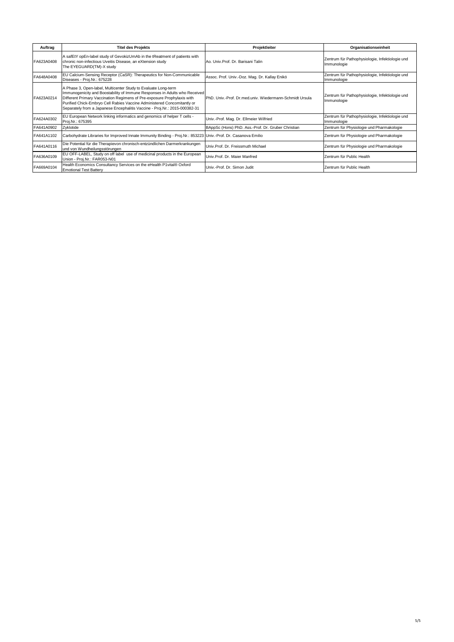| Auftrag    | <b>Titel des Projekts</b>                                                                                                                                                                                                                                                                                                                                                        | Projektleiter                                           | Organisationseinheit                                           |
|------------|----------------------------------------------------------------------------------------------------------------------------------------------------------------------------------------------------------------------------------------------------------------------------------------------------------------------------------------------------------------------------------|---------------------------------------------------------|----------------------------------------------------------------|
| FA623A0408 | A safEtY opEn-label study of GevokizUmAb in the tReatment of patients with<br>chronic non-infectious Uveitis Disease, an eXtension study<br>The EYEGUARD(TM)-X study                                                                                                                                                                                                             | Ao, Univ. Prof. Dr. Barisani Talin                      | Zentrum für Pathophysiologie, Infektiologie und<br>Immunologie |
| FA648A0408 | EU Calcium-Sensing Receptor (CaSR): Therapeutics for Non-Communicable<br>Diseases - Proj.Nr.: 675228                                                                                                                                                                                                                                                                             | Assoc. Prof. Univ.-Doz. Mag. Dr. Kallay Enikö           | Zentrum für Pathophysiologie, Infektiologie und<br>Immunologie |
| FA623A0214 | A Phase 3, Open-label, Multicenter Study to Evaluate Long-term<br>Immunogenicity and Boostability of Immune Responses in Adults who Received<br>Different Primary Vaccination Regimens of Pre-exposure Prophylaxis with<br>Purified Chick-Embryo Cell Rabies Vaccine Administered Concomitantly or<br>Separately from a Japanese Encephalitis Vaccine - Proj.Nr.: 2015-000382-31 | PhD, Univ.-Prof. Dr.med.univ. Wiedermann-Schmidt Ursula | Zentrum für Pathophysiologie, Infektiologie und<br>Immunologie |
| FA624A0302 | EU European Network linking informatics and genomics of helper T cells -<br>Proj.Nr.: 675395                                                                                                                                                                                                                                                                                     | Univ.-Prof. Mag. Dr. Ellmeier Wilfried                  | Zentrum für Pathophysiologie, Infektiologie und<br>Immunologie |
| FA641A0902 | Zyklotide                                                                                                                                                                                                                                                                                                                                                                        | BAppSc (Hons) PhD. Ass.-Prof. Dr. Gruber Christian      | Zentrum für Physiologie und Pharmakologie                      |
| FA641A1102 | Carbohydrate Libraries for Improved Innate Immunity Binding - Proj.Nr.: 853223 Univ.-Prof. Dr. Casanova Emilio                                                                                                                                                                                                                                                                   |                                                         | Zentrum für Physiologie und Pharmakologie                      |
| FA641A0116 | Die Potential für die Therapievon chronisch-entzündlichen Darmerkrankungen<br>und von Wundheilungsstörungen                                                                                                                                                                                                                                                                      | Univ.Prof. Dr. Freissmuth Michael                       | Zentrum für Physiologie und Pharmakologie                      |
| FA636A0109 | EU OFF-LABEL, Study on off label use of medicinal products in the European<br>Union - Proj.Nr.: FAR053-N01                                                                                                                                                                                                                                                                       | Univ.Prof. Dr. Maier Manfred                            | Zentrum für Public Health                                      |
| FA669A0104 | Health Economics Consultancy Services on the eHealth P1vital® Oxford<br><b>Emotional Test Battery</b>                                                                                                                                                                                                                                                                            | Univ.-Prof. Dr. Simon Judit                             | Zentrum für Public Health                                      |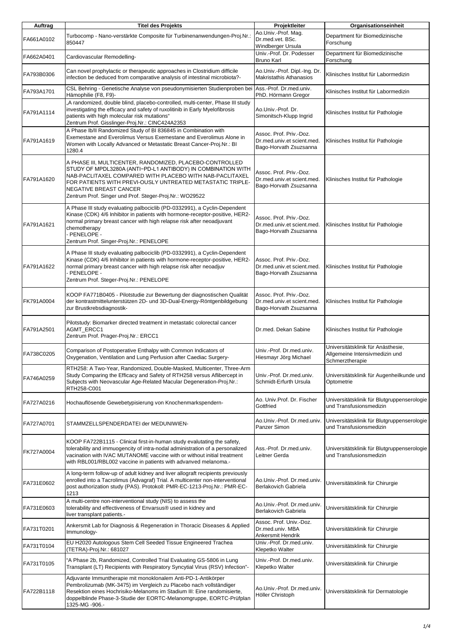| Auftrag    | <b>Titel des Projekts</b>                                                                                                                                                                                                                                                                                                               | Projektleiter                                                                   | Organisationseinheit                                                                    |
|------------|-----------------------------------------------------------------------------------------------------------------------------------------------------------------------------------------------------------------------------------------------------------------------------------------------------------------------------------------|---------------------------------------------------------------------------------|-----------------------------------------------------------------------------------------|
| FA661A0102 | Turbocomp - Nano-verstärkte Composite für Turbinenanwendungen-Proj.Nr.:<br>850447                                                                                                                                                                                                                                                       | Ao.Univ.-Prof. Mag.<br>Dr.med.vet. BSc.<br>Windberger Ursula                    | Department für Biomedizinische<br>Forschung                                             |
| FA662A0401 | Cardiovascular Remodelling-                                                                                                                                                                                                                                                                                                             | Univ.-Prof. Dr. Podesser<br><b>Bruno Karl</b>                                   | Department für Biomedizinische<br>Forschung                                             |
| FA793B0306 | Can novel prophylactic or therapeutic approaches in Clostridium difficile<br>infection be deduced from comparative analysis of intestinal microbiota?-                                                                                                                                                                                  | Ao Univ.-Prof. Dipl.-Ing. Dr.<br><b>Makristathis Athanasios</b>                 | Klinisches Institut für Labormedizin                                                    |
| FA793A1701 | CSL Behring - Genetische Analyse von pseudonymisierten Studienproben bei<br>Hämophilie (F8, F9)-                                                                                                                                                                                                                                        | Ass.-Prof. Dr.med.univ.<br>PhD. Hörmann Gregor                                  | Klinisches Institut für Labormedizin                                                    |
| FA791A1114 | "A randomized, double blind, placebo-controlled, multi-center, Phase III study<br>investigating the efficacy and safety of ruxolitinib in Early Myelofibrosis<br>patients with high molecular risk mutations"<br>Zentrum Prof. Gisslinger-Proj.Nr.: CINC424A2353                                                                        | Ao.Univ.-Prof. Dr.<br>Simonitsch-Klupp Ingrid                                   | Klinisches Institut für Pathologie                                                      |
| FA791A1619 | A Phase Ib/II Randomized Study of BI 836845 in Combination with<br>Exemestane and Everolimus Versus Exemestane and Everolimus Alone in<br>Women with Locally Advanced or Metastatic Breast Cancer-Proj.Nr.: BI<br>1280.4                                                                                                                | Assoc. Prof. Priv.-Doz.<br>Dr.med.univ.et scient.med.<br>Bago-Horvath Zsuzsanna | Klinisches Institut für Pathologie                                                      |
| FA791A1620 | A PHASE III, MULTICENTER, RANDOMIZED, PLACEBO-CONTROLLED<br>STUDY OF MPDL3280A (ANTI-PD-L1 ANTIBODY) IN COMBINATION WITH<br>NAB-PACLITAXEL COMPARED WITH PLACEBO WITH NAB-PACLITAXEL<br>FOR PATIENTS WITH PREVI-OUSLY UNTREATED METASTATIC TRIPLE-<br>NEGATIVE BREAST CANCER<br>Zentrum Prof. Singer und Prof. Steger-Proj.Nr.: WO29522 | Assoc. Prof. Priv.-Doz.<br>Dr.med.univ.et scient.med.<br>Bago-Horvath Zsuzsanna | Klinisches Institut für Pathologie                                                      |
| FA791A1621 | A Phase III study evaluating palbociclib (PD-0332991), a Cyclin-Dependent<br>Kinase (CDK) 4/6 Inhibitor in patients with hormone-receptor-positive, HER2-<br>normal primary breast cancer with high relapse risk after neoadjuvant<br>chemotherapy<br>PENELOPE -<br>Zentrum Prof. Singer-Proj.Nr.: PENELOPE                             | Assoc. Prof. Priv.-Doz.<br>Dr.med.univ.et scient.med.<br>Bago-Horvath Zsuzsanna | Klinisches Institut für Pathologie                                                      |
| FA791A1622 | A Phase III study evaluating palbociclib (PD-0332991), a Cyclin-Dependent<br>Kinase (CDK) 4/6 Inhibitor in patients with hormone-receptor-positive, HER2-<br>normal primary breast cancer with high relapse risk after neoadjuv<br>PENELOPE -<br>Zentrum Prof. Steger-Proj.Nr.: PENELOPE                                                | Assoc. Prof. Priv.-Doz.<br>Dr.med.univ.et scient.med.<br>Bago-Horvath Zsuzsanna | Klinisches Institut für Pathologie                                                      |
| FK791A0004 | KOOP FA771B0405 - Pilotstudie zur Bewertung der diagnostischen Qualität<br>der kontrastmittelunterstützen 2D- und 3D-Dual-Energy-Röntgenbildgebung<br>zur Brustkrebsdiagnostik-                                                                                                                                                         | Assoc. Prof. Priv.-Doz.<br>Dr.med.univ.et scient.med.<br>Bago-Horvath Zsuzsanna | Klinisches Institut für Pathologie                                                      |
| FA791A2501 | Pilotstudy: Biomarker directed treatment in metastatic colorectal cancer<br>AGMT_ERCC1<br>Zentrum Prof. Prager-Proj.Nr.: ERCC1                                                                                                                                                                                                          | Dr.med. Dekan Sabine                                                            | Klinisches Institut für Pathologie                                                      |
| FA738C0205 | Comparison of Postoperative Enthalpy with Common Indicators of<br>Oxygenation, Ventilation and Lung Perfusion after Caediac Surgery-                                                                                                                                                                                                    | Univ.-Prof. Dr.med.univ.<br>Hiesmayr Jörg Michael                               | Universitätsklinik für Anästhesie,<br>Allgemeine Intensivmedizin und<br>Schmerztherapie |
| FA746A0259 | RTH258: A Two-Year, Randomized, Double-Masked, Multicenter, Three-Arm<br>Study Comparing the Efficacy and Safety of RTH258 versus Aflibercept in<br>Subjects with Neovascular Age-Related Macular Degeneration-Proj.Nr.:<br>RTH258-C001                                                                                                 | Univ.-Prof. Dr.med.univ.<br>Schmidt-Erfurth Ursula                              | Universitätsklinik für Augenheilkunde und<br>Optometrie                                 |
| FA727A0216 | Hochauflösende Gewebetypisierung von Knochenmarkspendern-                                                                                                                                                                                                                                                                               | Ao. Univ.Prof. Dr. Fischer<br>Gottfried                                         | Universitätsklinik für Blutgruppenserologie<br>und Transfusionsmedizin                  |
| FA727A0701 | STAMMZELLSPENDERDATEI der MEDUNIWIEN-                                                                                                                                                                                                                                                                                                   | Ao.Univ.-Prof. Dr.med.univ.<br>Panzer Simon                                     | Universitätsklinik für Blutgruppenserologie<br>und Transfusionsmedizin                  |
| FK727A0004 | KOOP FA722B1115 - Clinical first-in-human study evalutating the safety,<br>tolerability and immuogencity of intra-nodal administration of a personalized<br>vacination with IVAC MUTANOME vaccine with or without initial treatment<br>with RBL001/RBL002 vaccine in patients with advanved melanoma.-                                  | Ass.-Prof. Dr.med.univ.<br>Leitner Gerda                                        | Universitätsklinik für Blutgruppenserologie<br>und Transfusionsmedizin                  |
| FA731E0602 | A long-term follow-up of adult kidney and liver allograft recipients previously<br>enrolled into a Tacrolimus (Advagraf) Trial. A multicenter non-interventional<br>post authorization study (PAS). Protokoll: PMR-EC-1213-Proj.Nr.: PMR-EC-<br>1213                                                                                    | Ao.Univ.-Prof. Dr.med.univ.<br>Berlakovich Gabriela                             | Universitätsklinik für Chirurgie                                                        |
| FA731E0603 | A multi-centre non-interventional study (NIS) to assess the<br>tolerability and effectiveness of Envarsus® used in kidney and<br>liver transplant patients.-                                                                                                                                                                            | Ao.Univ.-Prof. Dr.med.univ.<br><b>Berlakovich Gabriela</b>                      | Universitätsklinik für Chirurgie                                                        |
| FA731T0201 | Ankersmit Lab for Diagnosis & Regeneration in Thoracic Diseases & Applied<br>Immunology-                                                                                                                                                                                                                                                | Assoc. Prof. Univ.-Doz.<br>Dr.med.univ. MBA<br>Ankersmit Hendrik                | Universitätsklinik für Chirurgie                                                        |
| FA731T0104 | EU H2020 Autologous Stem Cell Seeded Tissue Engineered Trachea<br>(TETRA)-Proj.Nr.: 681027                                                                                                                                                                                                                                              | Univ.-Prof. Dr.med.univ.<br>Klepetko Walter                                     | Universitätsklinik für Chirurgie                                                        |
| FA731T0105 | "A Phase 2b, Randomized, Controlled Trial Evaluating GS-5806 in Lung<br>Transplant (LT) Recipients with Respiratory Syncytial Virus (RSV) Infection"-                                                                                                                                                                                   | Univ.-Prof. Dr.med.univ.<br>Klepetko Walter                                     | Universitätsklinik für Chirurgie                                                        |
| FA722B1118 | Adjuvante Immuntherapie mit monoklonalem Anti-PD-1-Antikörper<br>Pembrolizumab (MK-3475) im Vergleich zu Placebo nach vollständiger<br>Resektion eines Hochrisiko-Melanoms im Stadium III: Eine randomisierte,<br>doppelblinde Phase-3-Studie der EORTC-Melanomgruppe, EORTC-Prüfplan<br>1325-MG -906.-                                 | Ao.Univ.-Prof. Dr.med.univ.<br>Höller Christoph                                 | Universitätsklinik für Dermatologie                                                     |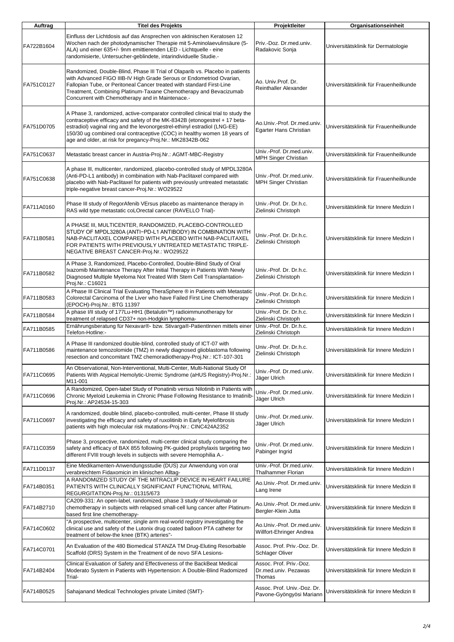| Auftrag    | <b>Titel des Projekts</b>                                                                                                                                                                                                                                                                                                                                                            | Projektleiter                                             | Organisationseinheit                     |
|------------|--------------------------------------------------------------------------------------------------------------------------------------------------------------------------------------------------------------------------------------------------------------------------------------------------------------------------------------------------------------------------------------|-----------------------------------------------------------|------------------------------------------|
| FA722B1604 | Einfluss der Lichtdosis auf das Ansprechen von aktinischen Keratosen 12<br>Wochen nach der photodynamischer Therapie mit 5-Aminolaevulinsäure (5-<br>ALA) und einer 635+/- 9nm emittierenden LED - Lichtquelle - eine<br>randomisierte, Untersucher-geblindete, intarindividuelle Studie.-                                                                                           | Priv.-Doz. Dr.med.univ.<br>Radakovic Sonja                | Universitätsklinik für Dermatologie      |
| FA751C0127 | Randomized, Double-Blind, Phase III Trial of Olaparib vs. Placebo in patients<br>with Advanced FIGO IIIB-IV High Grade Serous or Endometriod Ovarian,<br>Fallopian Tube, or Peritoneal Cancer treated with standard First-Line<br>Treatment, Combining Platinum-Taxane Chemotherapy and Bevacizumab<br>Concurrent with Chemotherapy and in Maintenace.-                              | Ao. Univ.Prof. Dr.<br><b>Reinthaller Alexander</b>        | Universitätsklinik für Frauenheilkunde   |
| FA751D0705 | A Phase 3, randomized, active-comparator controlled clinical trial to study the<br>contraceptive efficacy and safety of the MK-8342B (etonogestrel + 17 beta-<br>estradiol) vaginal ring and the levonorgestrel-ethinyl estradiol (LNG-EE)<br>150/30 ug combined oral contraceptive (COC) in healthy women 18 years of<br>age and older, at risk for pregancy-Proj.Nr.: MK28342B-062 | Ao.Univ.-Prof. Dr.med.univ.<br>Egarter Hans Christian     | Universitätsklinik für Frauenheilkunde   |
| FA751C0637 | Metastatic breast cancer in Austria-Proj.Nr.: AGMT-MBC-Registry                                                                                                                                                                                                                                                                                                                      | Univ.-Prof. Dr.med.univ.<br><b>MPH Singer Christian</b>   | Universitätsklinik für Frauenheilkunde   |
| FA751C0638 | A phase III, multicenter, randomized, placebo-controlled study of MPDL3280A<br>(Anti-PD-L1 antibody) in combination with Nab-Paclitaxel compared with<br>placebo with Nab-Paclitaxel for patients with previously untreated metastatic<br>triple-negative breast cancer-Proj.Nr.: WO29522                                                                                            | Univ.-Prof. Dr.med.univ.<br><b>MPH Singer Christian</b>   | Universitätsklinik für Frauenheilkunde   |
| FA711A0160 | Phase III study of RegorAfenib VErsus placebo as maintenance therapy in<br>RAS wild type metastatic coLOrectal cancer (RAVELLO Trial)-                                                                                                                                                                                                                                               | Univ.-Prof. Dr. Dr.h.c.<br>Zielinski Christoph            | Universitätsklinik für Innere Medizin I  |
| FA711B0581 | A PHASE III, MULTICENTER, RANDOMIZED, PLACEBO-CONTROLLED<br>STUDY OF MPDL3280A (ANTI-PD-L1 ANTIBODY) IN COMBINATION WITH<br>NAB-PACLITAXEL COMPARED WITH PLACEBO WITH NAB-PACLITAXEL<br>FOR PATIENTS WITH PREVIOUSLY UNTREATED METASTATIC TRIPLE-<br>NEGATIVE BREAST CANCER-Proj.Nr.: WO29522                                                                                        | Univ.-Prof. Dr. Dr.h.c.<br>Zielinski Christoph            | Universitätsklinik für Innere Medizin I  |
| FA711B0582 | A Phase 3, Randomized, Placebo-Controlled, Double-Blind Study of Oral<br>Ixazomib Maintenance Therapy After Initial Therapy in Patients With Newly<br>Diagnosed Multiple Myeloma Not Treated With Stem Cell Transplantation-<br>Proj.Nr.: C16021                                                                                                                                     | Univ.-Prof. Dr. Dr.h.c.<br>Zielinski Christoph            | Universitätsklinik für Innere Medizin I  |
| FA711B0583 | A Phase III Clinical Trial Evaluating TheraSphere ® in Patients with Metastatic<br>Colorectal Carcinoma of the Liver who have Failed First Line Chemotherapy<br>(EPOCH)-Proj.Nr.: BTG 11397                                                                                                                                                                                          | Univ.-Prof. Dr. Dr.h.c.<br>Zielinski Christoph            | Universitätsklinik für Innere Medizin I  |
| FA711B0584 | A phase I/II study of 177Lu-HH1 (Betalutin™) radioimmunotherapy for<br>treatment of relapsed CD37+ non-Hodgkin lymphoma-                                                                                                                                                                                                                                                             | Univ.-Prof. Dr. Dr.h.c.<br>Zielinski Christoph            | Universitätsklinik für Innere Medizin I  |
| FA711B0585 | Ernährungsberatung für Nexavar®- bzw. Stivarga®-PatientInnen mittels einer<br>Telefon-Hotline:-                                                                                                                                                                                                                                                                                      | Univ.-Prof. Dr. Dr.h.c.<br>Zielinski Christoph            | Universitätsklinik für Innere Medizin I  |
| FA711B0586 | A Phase III randomized double-blind, controlled study of ICT-07 with<br>maintenance temozolomide (TMZ) in newly diagnosed glioblastoma following<br>resection and concomitant TMZ chemoradiotherapy-Proj.Nr.: ICT-107-301                                                                                                                                                            | Univ.-Prof. Dr. Dr.h.c.<br>Zielinski Christoph            | Universitätsklinik für Innere Medizin I  |
| FA711C0695 | An Observational, Non-Interventional, Multi-Center, Multi-National Study Of<br>Patients With Atypical Hemolytic-Uremic Syndrome (aHUS Registry)-Proj.Nr.:<br>M11-001                                                                                                                                                                                                                 | Univ.-Prof. Dr.med.univ.<br>Jäger Ulrich                  | Universitätsklinik für Innere Medizin I  |
| FA711C0696 | A Randomized, Open-label Study of Ponatinib versus Nilotinib in Patients with<br>Chronic Myeloid Leukemia in Chronic Phase Following Resistance to Imatinib<br>Proj.Nr.: AP24534-15-303                                                                                                                                                                                              | Univ.-Prof. Dr.med.univ.<br>Jäger Ulrich                  | Universitätsklinik für Innere Medizin I  |
| FA711C0697 | A randomized, double blind, placebo-controlled, multi-center, Phase III study<br>investigating the efficacy and safety of ruxolitinib in Early Myelofibrosis<br>patients with high molecular risk mutations-Proj.Nr.: CINC424A2352                                                                                                                                                   | Univ.-Prof. Dr.med.univ.<br>Jäger Ulrich                  | Universitätsklinik für Innere Medizin I  |
| FA711C0359 | Phase 3, prospective, randomized, multi-center clinical study comparing the<br>safety and efficacy of BAX 855 following PK-guided prophylaxis targeting two<br>different FVIII trough levels in subjects with severe Hemophilia A.-                                                                                                                                                  | Univ.-Prof. Dr.med.univ.<br>Pabinger Ingrid               | Universitätsklinik für Innere Medizin I  |
| FA711D0137 | Eine Medikamenten-Anwendungsstudie (DUS) zur Anwendung von oral<br>verabreichtem Fidaxomicin im klinischen Alltag-                                                                                                                                                                                                                                                                   | Univ.-Prof. Dr.med.univ.<br><b>Thalhammer Florian</b>     | Universitätsklinik für Innere Medizin I  |
| FA714B0351 | A RANDOMIZED STUDY OF THE MITRACLIP DEVICE IN HEART FAILURE<br>PATIENTS WITH CLINICALLY SIGNIFICANT FUNCTIONAL MITRAL<br>REGURGITATION-Proj.Nr.: 01315/673                                                                                                                                                                                                                           | Ao.Univ.-Prof. Dr.med.univ.<br>Lang Irene                 | Universitätsklinik für Innere Medizin II |
| FA714B2710 | CA209-331: An open-label, randomized, phase 3 study of Nivolumab or<br>chemotherapy in subjects with relapsed small-cell lung cancer after Platinum-<br>based first line chemotherapy-                                                                                                                                                                                               | Ao.Univ.-Prof. Dr.med.univ.<br>Bergler-Klein Jutta        | Universitätsklinik für Innere Medizin II |
| FA714C0602 | "A prospective, multicenter, single arm real-world registry investigating the<br>clinical use and safety of the Lutonix drug coated balloon PTA catheter for<br>treatment of below-the knee (BTK) arteries"-                                                                                                                                                                         | Ao.Univ.-Prof. Dr.med.univ.<br>Willfort-Ehringer Andrea   | Universitätsklinik für Innere Medizin II |
| FA714C0701 | An Evaluation of the 480 Biomedical STANZA TM Drug-Eluting Resorbable<br>Scaffold (DRS) System in the Treatment of de novo SFA Lesions-                                                                                                                                                                                                                                              | Assoc. Prof. Priv.-Doz. Dr.<br><b>Schlager Oliver</b>     | Universitätsklinik für Innere Medizin II |
| FA714B2404 | Clinical Evaluation of Safety and Effectiveness of the BackBeat Medical<br>Moderato System in Patients with Hypertension: A Double-Blind Radomized<br>Trial-                                                                                                                                                                                                                         | Assoc. Prof. Priv.-Doz.<br>Dr.med.univ. Pezawas<br>Thomas | Universitätsklinik für Innere Medizin II |
| FA714B0525 | Sahajanand Medical Technologies private Limited (SMT)-                                                                                                                                                                                                                                                                                                                               | Assoc. Prof. Univ.-Doz. Dr.<br>Pavone-Gyöngyösi Mariann   | Universitätsklinik für Innere Medizin II |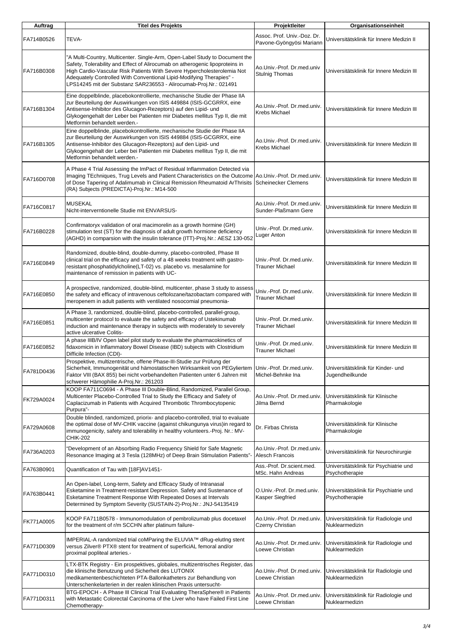| Auftrag    | <b>Titel des Projekts</b>                                                                                                                                                                                                                                                                                                                                                           | Projektleiter                                           | Organisationseinheit                                     |
|------------|-------------------------------------------------------------------------------------------------------------------------------------------------------------------------------------------------------------------------------------------------------------------------------------------------------------------------------------------------------------------------------------|---------------------------------------------------------|----------------------------------------------------------|
| FA714B0526 | TEVA-                                                                                                                                                                                                                                                                                                                                                                               | Assoc. Prof. Univ.-Doz. Dr.<br>Pavone-Gyöngyösi Mariann | Universitätsklinik für Innere Medizin II                 |
| FA716B0308 | 'A Multi-Country, Multicenter. Single-Arm, Open-Label Study to Document the<br>Safety, Tolerability and Effect of Alirocumab on atherogenic lipoproteins in<br>High Cardio-Vascular Risk Patients With Severe Hypercholesterolemia Not<br>Adequately Controlled With Conventional Lipid-Modifying Therapies" -<br>LPS14245 mit der Substanz SAR236553 - Alirocumab-Proj.Nr.: 021491 | Ao.Univ.-Prof. Dr.med.univ<br><b>Stulnig Thomas</b>     | Universitätsklinik für Innere Medizin III                |
| FA716B1304 | Eine doppelblinde, placebokontrollierte, mechanische Studie der Phase IIA<br>zur Beurteilung der Auswirkungen von ISIS 449884 (ISIS-GCGRRX, eine<br>Antisense-Inhibitor des Glucagon-Rezeptors) auf den Lipid- und<br>Glykogengehalt der Leber bei Patienten mir Diabetes mellitus Typ II, die mit<br>Metformin behandelt werden.-                                                  | Ao Univ - Prof. Dr.med.univ.<br>Krebs Michael           | Universitätsklinik für Innere Medizin III                |
| FA716B1305 | Eine doppelblinde, placebokontrollierte, mechanische Studie der Phase IIA<br>zur Beurteilung der Auswirkungen von ISIS 449884 (ISIS-GCGRRX, eine<br>Antisense-Inhibitor des Glucagon-Rezeptors) auf den Lipid- und<br>Glykogengehalt der Leber bei Patienten mir Diabetes mellitus Typ II, die mit<br>Metformin behandelt werden.-                                                  | Ao Univ - Prof. Dr.med.univ.<br>Krebs Michael           | Universitätsklinik für Innere Medizin III                |
| FA716D0708 | A Phase 4 Trial Assessing the ImPact of Residual Inflammation Detected via<br>Imaging TEchniques, Trug Levels and Patient Characteristics on the Outcome Ao.Univ.-Prof. Dr.med.univ.<br>of Dose Tapering of Adalimumab in Clinical Remission Rheumatoid ArThrisits<br>(RA) Subjects (PREDICTA)-Proj.Nr.: M14-500                                                                    | <b>Scheinecker Clemens</b>                              | Universitätsklinik für Innere Medizin III                |
| FA716C0817 | <b>MUSEKAL</b><br>Nicht-interverntionelle Studie mit ENVARSUS-                                                                                                                                                                                                                                                                                                                      | Ao Univ - Prof. Dr.med.univ.<br>Sunder-Plaßmann Gere    | Universitätsklinik für Innere Medizin III                |
| FA716B0228 | Confirmatoryx validation of oral macimorelin as a growth hormine (GH)<br>stimulation test (ST) for the diagnosis of adult growth hormione deficiency<br>(AGHD) in comparsion with the insulin tolerance (ITT)-Proj.Nr.: AESZ 130-052                                                                                                                                                | Univ.-Prof. Dr.med.univ.<br>Luger Anton                 | Universitätsklinik für Innere Medizin III                |
| FA716E0849 | Randomized, double-blind, double-dummy, placebo-controlled, Phase III<br>clinical trial on the efficacy and safety of a 48 weeks treatment with gastro-<br>resistant phosphatidylcholine(LT-02) vs. placebo vs. mesalamine for<br>maintenance of remission in patients with UC-                                                                                                     | Univ.-Prof. Dr.med.univ.<br><b>Trauner Michael</b>      | Universitätsklinik für Innere Medizin III                |
| FA716E0850 | A prospective, randomized, double-blind, multicenter, phase 3 study to assess<br>the safety and efficacy of intravenous ceftolozane/tazobactam compared with<br>meropenem in adult patients with ventilated nosocomial pneumonia-                                                                                                                                                   | Univ.-Prof. Dr.med.univ.<br><b>Trauner Michael</b>      | Universitätsklinik für Innere Medizin III                |
| FA716E0851 | A Phase 3, randomized, double-blind, placebo-controlled, parallel-group,<br>multicenter protocol to evaluate the safety and efficacy of Ustekinumab<br>induction and maintenance therapy in subjects with moderately to severely<br>active ulcerative Colitis-                                                                                                                      | Univ.-Prof. Dr.med.univ.<br><b>Trauner Michael</b>      | Universitätsklinik für Innere Medizin III                |
| FA716E0852 | A phase IIIB/IV Open label pilot study to evaluate the pharmacokinetics of<br>fidaxomicin in Inflammatory Bowel Disease (IBD) subjects with Clostridium<br>Difficile Infection (CDI)-                                                                                                                                                                                               | Univ.-Prof. Dr.med.univ.<br><b>Trauner Michael</b>      | Universitätsklinik für Innere Medizin III                |
| FA781D0436 | Prospektive, multizentrische, offene Phase-III-Studie zur Prüfung der<br>Sicherheit, Immunogenität und hämostatischen Wirksamkeit von PEGyliertem<br>Faktor VIII (BAX 855) bei nicht vorbehandelten Patienten unter 6 Jahren mit<br>schwerer Hämophilie A-Proj.Nr.: 261203                                                                                                          | Univ.-Prof. Dr.med.univ.<br>Michel-Behnke Ina           | Universitätsklinik für Kinder- und<br>Jugendheilkunde    |
| FK729A0024 | KOOP FA711C0694 - A Phase III Double-Blind, Randomized, Parallel Group,<br>Multicenter Placebo-Controlled Trial to Study the Efficacy and Safety of<br>Caplacizumab in Patients with Acquired Thrombotic Thrombocytopenic<br>Purpura"-                                                                                                                                              | Ao.Univ.-Prof. Dr.med.univ.<br>Jilma Bernd              | Universitätsklinik für Klinische<br>Pharmakologie        |
| FA729A0608 | Double blinded, randomized, priorix- and placebo-controlled, trial to evaluate<br>the optimal dose of MV-CHIK vaccine (against chikungunya virus)in regard to<br>immunogenicity, safety and tolerability in healthy volunteers.-Proj. Nr.: MV-<br><b>CHIK-202</b>                                                                                                                   | Dr. Firbas Christa                                      | Universitätsklinik für Klinische<br>Pharmakologie        |
| FA736A0203 | Development of an Absorbing Radio Frequency Shield for Safe Magnetic<br>Resonance Imaging at 3 Tesla (128MHz) of Deep Brain Stimulation Patients"-                                                                                                                                                                                                                                  | Ao.Univ.-Prof. Dr.med.univ.<br>Alesch Francois          | Universitätsklinik für Neurochirurgie                    |
| FA763B0901 | Quantification of Tau with [18F]AV1451-                                                                                                                                                                                                                                                                                                                                             | Ass.-Prof. Dr.scient.med.<br>MSc. Hahn Andreas          | Universitätsklinik für Psychiatrie und<br>Psychotherapie |
| FA763B0441 | An Open-label, Long-term, Safety and Efficacy Study of Intranasal<br>Esketamine in Treatment-resistant Depression. Safety and Sustenance of<br>Esketamine Treatment Response With Repeated Doses at Intervals<br>Determined by Symptom Severity (SUSTAIN-2)-Proj.Nr.: JNJ-54135419                                                                                                  | O.Univ.-Prof. Dr.med.univ.<br>Kasper Siegfried          | Universitätsklinik für Psychiatrie und<br>Psychotherapie |
| FK771A0005 | KOOP FA711B0578 - Immunomodulation of pembrolizumab plus docetaxel<br>for the treatment of r/m SCCHN after platinum failure-                                                                                                                                                                                                                                                        | Ao.Univ.-Prof. Dr.med.univ.<br>Czerny Christian         | Universitätsklinik für Radiologie und<br>Nuklearmedizin  |
| FA771D0309 | IMPERIAL-A randomIzed trial coMParing the ELUVIA™ dRug-elutIng stent<br>versus Zilver® PTX® stent for treatment of superficiAL femoral and/or<br>proximal popliteal arteries.-                                                                                                                                                                                                      | Ao Univ .- Prof. Dr. med.univ.<br>Loewe Christian       | Universitätsklinik für Radiologie und<br>Nuklearmedizin  |
| FA771D0310 | LTX-BTK Registry - Ein prospektives, globales, multizentrisches Register, das<br>die klinische Benutzung und Sicherheit des LUTONIX<br>medikamentenbeschichteten PTA-Ballonkatheters zur Behandlung von<br>Unterschenkelarterien in der realen klinischen Praxis untersucht-                                                                                                        | Ao.Univ.-Prof. Dr.med.univ.<br>Loewe Christian          | Universitätsklinik für Radiologie und<br>Nuklearmedizin  |
| FA771D0311 | BTG-EPOCH - A Phase III Clinical Trial Evaluating TheraSphere® in Patients<br>with Metastatic Colorectal Carcinoma of the Liver who have Failed First Line<br>Chemotherapy-                                                                                                                                                                                                         | Ao.Univ.-Prof. Dr.med.univ.<br>Loewe Christian          | Universitätsklinik für Radiologie und<br>Nuklearmedizin  |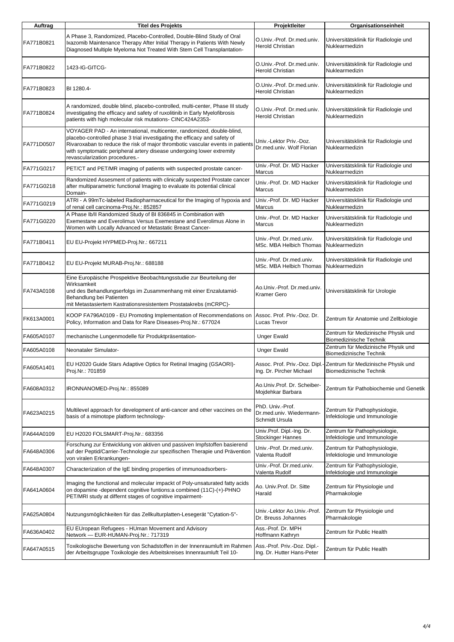| Auftrag    | <b>Titel des Projekts</b>                                                                                                                                                                                                                                                                                                                        | Projektleiter                                                  | Organisationseinheit                                                                          |
|------------|--------------------------------------------------------------------------------------------------------------------------------------------------------------------------------------------------------------------------------------------------------------------------------------------------------------------------------------------------|----------------------------------------------------------------|-----------------------------------------------------------------------------------------------|
| FA771B0821 | A Phase 3, Randomized, Placebo-Controlled, Double-Blind Study of Oral<br>Ixazomib Maintenance Therapy After Initial Therapy in Patients With Newly<br>Diagnosed Multiple Myeloma Not Treated With Stem Cell Transplantation-                                                                                                                     | O.Univ.-Prof. Dr.med.univ.<br><b>Herold Christian</b>          | Universitätsklinik für Radiologie und<br>Nuklearmedizin                                       |
| FA771B0822 | 1423-IG-GITCG-                                                                                                                                                                                                                                                                                                                                   | O.Univ.-Prof. Dr.med.univ.<br><b>Herold Christian</b>          | Universitätsklinik für Radiologie und<br>Nuklearmedizin                                       |
| FA771B0823 | BI 1280.4-                                                                                                                                                                                                                                                                                                                                       | O.Univ.-Prof. Dr.med.univ.<br><b>Herold Christian</b>          | Universitätsklinik für Radiologie und<br>Nuklearmedizin                                       |
| FA771B0824 | A randomized, double blind, placebo-controlled, multi-center, Phase III study<br>investigating the efficacy and safety of ruxolitinib in Early Myelofibrosis<br>patients with high molecular risk mutations- CINC424A2353-                                                                                                                       | O.Univ.-Prof. Dr.med.univ.<br><b>Herold Christian</b>          | Universitätsklinik für Radiologie und<br>Nuklearmedizin                                       |
| FA771D0507 | VOYAGER PAD - An international, multicenter, randomized, double-blind,<br>placebo-controlled phase 3 trial investigating the efficacy and safety of<br>Rivaroxaban to reduce the risk of major thrombotic vascular events in patients<br>with symptomatic peripheral artery disease undergoing lower extremity<br>revascularization procedures.- | Univ.-Lektor Priv.-Doz.<br>Dr.med.univ. Wolf Florian           | Universitätsklinik für Radiologie und<br>Nuklearmedizin                                       |
| FA771G0217 | PET/CT and PET/MR imaging of patients with suspected prostate cancer-                                                                                                                                                                                                                                                                            | Univ.-Prof. Dr. MD Hacker<br>Marcus                            | Universitätsklinik für Radiologie und<br>Nuklearmedizin                                       |
| FA771G0218 | Randomized Assesment of patients with clinically suspected Prostate cancer<br>after multiparametric functional Imaging to evaluate its potential clinical<br>Domain-                                                                                                                                                                             | Univ.-Prof. Dr. MD Hacker<br>Marcus                            | Universitätsklinik für Radiologie und<br>Nuklearmedizin                                       |
| FA771G0219 | ATRI - A 99mTc-labeled Radiopharmaceutical for the Imaging of hypoxia and<br>of renal cell carcinoma-Proj.Nr.: 852857                                                                                                                                                                                                                            | Univ.-Prof. Dr. MD Hacker<br>Marcus                            | Universitätsklinik für Radiologie und<br>Nuklearmedizin                                       |
| FA771G0220 | A Phase Ib/II Randomized Study of BI 836845 in Combination with<br>Exemestane and Everolimus Versus Exemestane and Everolimus Alone in<br>Women with Locally Advanced or Metastatic Breast Cancer-                                                                                                                                               | Univ.-Prof. Dr. MD Hacker<br>Marcus                            | Universitätsklinik für Radiologie und<br>Nuklearmedizin                                       |
| FA771B0411 | EU EU-Projekt HYPMED-Proj.Nr.: 667211                                                                                                                                                                                                                                                                                                            | Univ.-Prof. Dr.med.univ.<br>MSc. MBA Helbich Thomas            | Universitätsklinik für Radiologie und<br>Nuklearmedizin                                       |
| FA771B0412 | EU EU-Projekt MURAB-Proj.Nr.: 688188                                                                                                                                                                                                                                                                                                             | Univ.-Prof. Dr.med.univ.<br>MSc. MBA Helbich Thomas            | Universitätsklinik für Radiologie und<br>Nuklearmedizin                                       |
| FA743A0108 | Eine Europäische Prospektive Beobachtungsstudie zur Beurteilung der<br>Wirksamkeit<br>und des Behandlungserfolgs im Zusammenhang mit einer Enzalutamid-<br>Behandlung bei Patienten<br>mit Metastasiertem Kastrationsresistentem Prostatakrebs (mCRPC)-                                                                                          | Ao Univ - Prof. Dr.med.univ.<br>Kramer Gero                    | Universitätsklinik für Urologie                                                               |
| FK613A0001 | KOOP FA796A0109 - EU Promoting Implementation of Recommendations on<br>Policy, Information and Data for Rare Diseases-Proj.Nr.: 677024                                                                                                                                                                                                           | Assoc. Prof. Priv.-Doz. Dr.<br>Lucas Trevor                    | Zentrum für Anatomie und Zellbiologie                                                         |
| FA605A0107 | mechanische Lungenmodelle für Produktpräsentation-                                                                                                                                                                                                                                                                                               | Unger Ewald                                                    | Zentrum für Medizinische Physik und<br>Biomedizinische Technik                                |
| FA605A0108 | Neonataler Simulator-                                                                                                                                                                                                                                                                                                                            | <b>Unger Ewald</b>                                             | Zentrum für Medizinische Physik und<br>Biomedizinische Technik                                |
| FA605A1401 | EU H2020 Guide Stars Adaptive Optics for Retinal Imaging (GSAORI)-<br>Proj.Nr.: 701859                                                                                                                                                                                                                                                           | Ing. Dr. Pircher Michael                                       | Assoc. Prof. Priv.-Doz. Dipl.- Zentrum für Medizinische Physik und<br>Biomedizinische Technik |
| FA608A0312 | IRONNANOMED-Proj.Nr.: 855089                                                                                                                                                                                                                                                                                                                     | Ao.Univ.Prof. Dr. Scheiber-<br>Mojdehkar Barbara               | Zentrum für Pathobiochemie und Genetik                                                        |
| FA623A0215 | Multilevel approach for development of anti-cancer and other vaccines on the<br>basis of a mimotope platform technology-                                                                                                                                                                                                                         | PhD. Univ.-Prof.<br>Dr.med.univ. Wiedermann-<br>Schmidt Ursula | Zentrum für Pathophysiologie,<br>Infektiologie und Immunologie                                |
| FA644A0109 | EU H2020 FOLSMART-Proj.Nr.: 683356                                                                                                                                                                                                                                                                                                               | Univ.Prof. Dipl.-Ing. Dr.<br>Stockinger Hannes                 | Zentrum für Pathophysiologie,<br>Infektiologie und Immunologie                                |
| FA648A0306 | Forschung zur Entwicklung von aktiven und passiven Impfstoffen basierend<br>auf der Peptid/Carrier-Technologie zur spezifischen Therapie und Prävention<br>von viralen Erkrankungen-                                                                                                                                                             | Univ.-Prof. Dr.med.univ.<br>Valenta Rudolf                     | Zentrum für Pathophysiologie,<br>Infektiologie und Immunologie                                |
| FA648A0307 | Characterization of the IgE binding properties of immunoadsorbers-                                                                                                                                                                                                                                                                               | Univ.-Prof. Dr.med.univ.<br>Valenta Rudolf                     | Zentrum für Pathophysiologie,<br>Infektiologie und Immunologie                                |
| FA641A0604 | Imaging the functional and molecular impackt of Poly-unsaturated fatty acids<br>on dopamine -dependent cognitive funtions: a combined (11C)-(+)-PHNO<br>PET/MRI study at differnt stages of cognitive impairment-                                                                                                                                | Ao. Univ.Prof. Dr. Sitte<br>Harald                             | Zentrum für Physiologie und<br>Pharmakologie                                                  |
| FA625A0804 | Nutzungsmöglichkeiten für das Zellkulturplatten-Lesegerät "Cytation-5"-                                                                                                                                                                                                                                                                          | Univ.-Lektor Ao Univ.-Prof.<br>Dr. Breuss Johannes             | Zentrum für Physiologie und<br>Pharmakologie                                                  |
| FA636A0402 | EU EUropean Refugees - HUman Movement and Advisory<br>Network - EUR-HUMAN-Proj.Nr.: 717319                                                                                                                                                                                                                                                       | Ass.-Prof. Dr. MPH<br>Hoffmann Kathryn                         | Zentrum für Public Health                                                                     |
| FA647A0515 | Toxikologische Bewertung von Schadstoffen in der Innenraumluft im Rahmen<br>der Arbeitsgruppe Toxikologie des Arbeitskreises Innenraumluft Teil 10-                                                                                                                                                                                              | Ass.-Prof. Priv.-Doz. Dipl.-<br>Ing. Dr. Hutter Hans-Peter     | Zentrum für Public Health                                                                     |